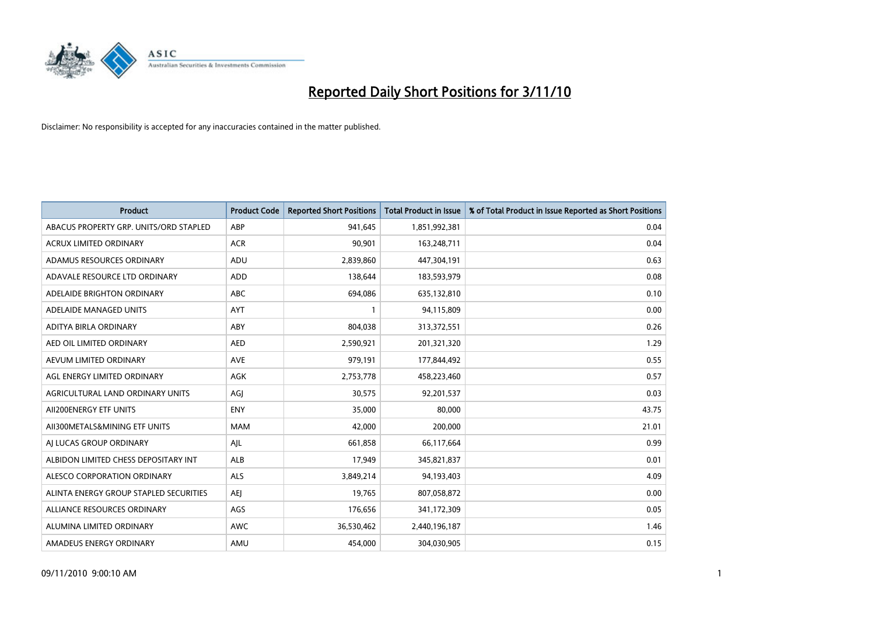

| <b>Product</b>                         | <b>Product Code</b> | <b>Reported Short Positions</b> | <b>Total Product in Issue</b> | % of Total Product in Issue Reported as Short Positions |
|----------------------------------------|---------------------|---------------------------------|-------------------------------|---------------------------------------------------------|
| ABACUS PROPERTY GRP. UNITS/ORD STAPLED | ABP                 | 941,645                         | 1,851,992,381                 | 0.04                                                    |
| <b>ACRUX LIMITED ORDINARY</b>          | <b>ACR</b>          | 90,901                          | 163,248,711                   | 0.04                                                    |
| ADAMUS RESOURCES ORDINARY              | ADU                 | 2,839,860                       | 447,304,191                   | 0.63                                                    |
| ADAVALE RESOURCE LTD ORDINARY          | <b>ADD</b>          | 138,644                         | 183,593,979                   | 0.08                                                    |
| ADELAIDE BRIGHTON ORDINARY             | <b>ABC</b>          | 694.086                         | 635,132,810                   | 0.10                                                    |
| ADELAIDE MANAGED UNITS                 | <b>AYT</b>          |                                 | 94,115,809                    | 0.00                                                    |
| ADITYA BIRLA ORDINARY                  | ABY                 | 804.038                         | 313,372,551                   | 0.26                                                    |
| AED OIL LIMITED ORDINARY               | <b>AED</b>          | 2,590,921                       | 201,321,320                   | 1.29                                                    |
| AEVUM LIMITED ORDINARY                 | <b>AVE</b>          | 979,191                         | 177,844,492                   | 0.55                                                    |
| AGL ENERGY LIMITED ORDINARY            | <b>AGK</b>          | 2,753,778                       | 458,223,460                   | 0.57                                                    |
| AGRICULTURAL LAND ORDINARY UNITS       | AGJ                 | 30,575                          | 92,201,537                    | 0.03                                                    |
| AII200ENERGY ETF UNITS                 | <b>ENY</b>          | 35,000                          | 80,000                        | 43.75                                                   |
| AII300METALS&MINING ETF UNITS          | <b>MAM</b>          | 42.000                          | 200,000                       | 21.01                                                   |
| AI LUCAS GROUP ORDINARY                | AJL                 | 661,858                         | 66,117,664                    | 0.99                                                    |
| ALBIDON LIMITED CHESS DEPOSITARY INT   | ALB                 | 17,949                          | 345,821,837                   | 0.01                                                    |
| ALESCO CORPORATION ORDINARY            | <b>ALS</b>          | 3,849,214                       | 94,193,403                    | 4.09                                                    |
| ALINTA ENERGY GROUP STAPLED SECURITIES | <b>AEI</b>          | 19,765                          | 807,058,872                   | 0.00                                                    |
| ALLIANCE RESOURCES ORDINARY            | AGS                 | 176,656                         | 341,172,309                   | 0.05                                                    |
| ALUMINA LIMITED ORDINARY               | <b>AWC</b>          | 36,530,462                      | 2,440,196,187                 | 1.46                                                    |
| AMADEUS ENERGY ORDINARY                | AMU                 | 454.000                         | 304,030,905                   | 0.15                                                    |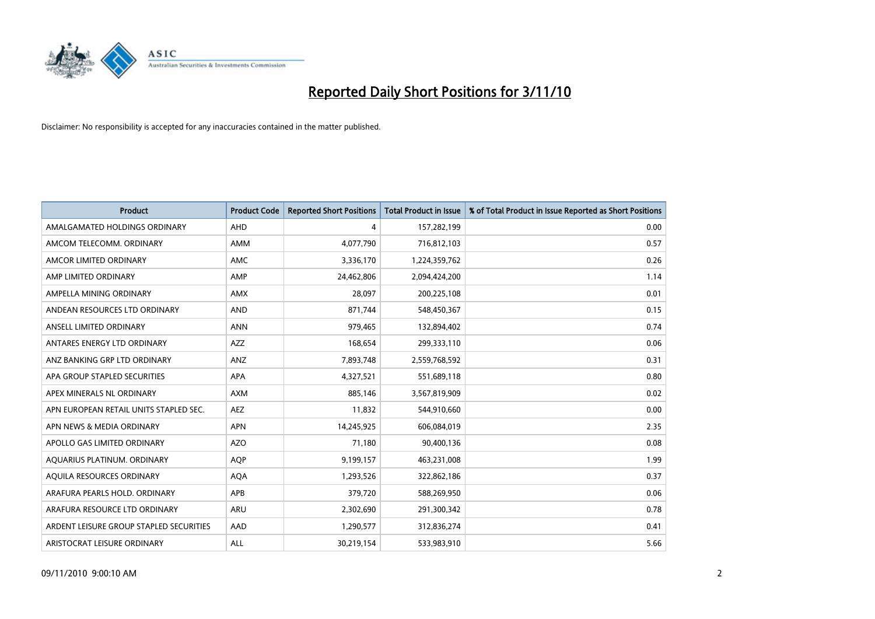

| <b>Product</b>                          | <b>Product Code</b> | <b>Reported Short Positions</b> | <b>Total Product in Issue</b> | % of Total Product in Issue Reported as Short Positions |
|-----------------------------------------|---------------------|---------------------------------|-------------------------------|---------------------------------------------------------|
| AMALGAMATED HOLDINGS ORDINARY           | AHD                 | 4                               | 157,282,199                   | 0.00                                                    |
| AMCOM TELECOMM. ORDINARY                | <b>AMM</b>          | 4,077,790                       | 716,812,103                   | 0.57                                                    |
| AMCOR LIMITED ORDINARY                  | <b>AMC</b>          | 3,336,170                       | 1,224,359,762                 | 0.26                                                    |
| AMP LIMITED ORDINARY                    | AMP                 | 24,462,806                      | 2,094,424,200                 | 1.14                                                    |
| AMPELLA MINING ORDINARY                 | <b>AMX</b>          | 28,097                          | 200,225,108                   | 0.01                                                    |
| ANDEAN RESOURCES LTD ORDINARY           | <b>AND</b>          | 871,744                         | 548,450,367                   | 0.15                                                    |
| ANSELL LIMITED ORDINARY                 | <b>ANN</b>          | 979,465                         | 132,894,402                   | 0.74                                                    |
| ANTARES ENERGY LTD ORDINARY             | <b>AZZ</b>          | 168,654                         | 299,333,110                   | 0.06                                                    |
| ANZ BANKING GRP LTD ORDINARY            | ANZ                 | 7,893,748                       | 2,559,768,592                 | 0.31                                                    |
| APA GROUP STAPLED SECURITIES            | <b>APA</b>          | 4,327,521                       | 551,689,118                   | 0.80                                                    |
| APEX MINERALS NL ORDINARY               | <b>AXM</b>          | 885,146                         | 3,567,819,909                 | 0.02                                                    |
| APN EUROPEAN RETAIL UNITS STAPLED SEC.  | <b>AEZ</b>          | 11,832                          | 544,910,660                   | 0.00                                                    |
| APN NEWS & MEDIA ORDINARY               | <b>APN</b>          | 14,245,925                      | 606,084,019                   | 2.35                                                    |
| APOLLO GAS LIMITED ORDINARY             | <b>AZO</b>          | 71,180                          | 90,400,136                    | 0.08                                                    |
| AQUARIUS PLATINUM. ORDINARY             | <b>AOP</b>          | 9,199,157                       | 463,231,008                   | 1.99                                                    |
| AQUILA RESOURCES ORDINARY               | <b>AQA</b>          | 1,293,526                       | 322,862,186                   | 0.37                                                    |
| ARAFURA PEARLS HOLD. ORDINARY           | APB                 | 379,720                         | 588,269,950                   | 0.06                                                    |
| ARAFURA RESOURCE LTD ORDINARY           | <b>ARU</b>          | 2,302,690                       | 291,300,342                   | 0.78                                                    |
| ARDENT LEISURE GROUP STAPLED SECURITIES | AAD                 | 1,290,577                       | 312,836,274                   | 0.41                                                    |
| ARISTOCRAT LEISURE ORDINARY             | ALL                 | 30,219,154                      | 533,983,910                   | 5.66                                                    |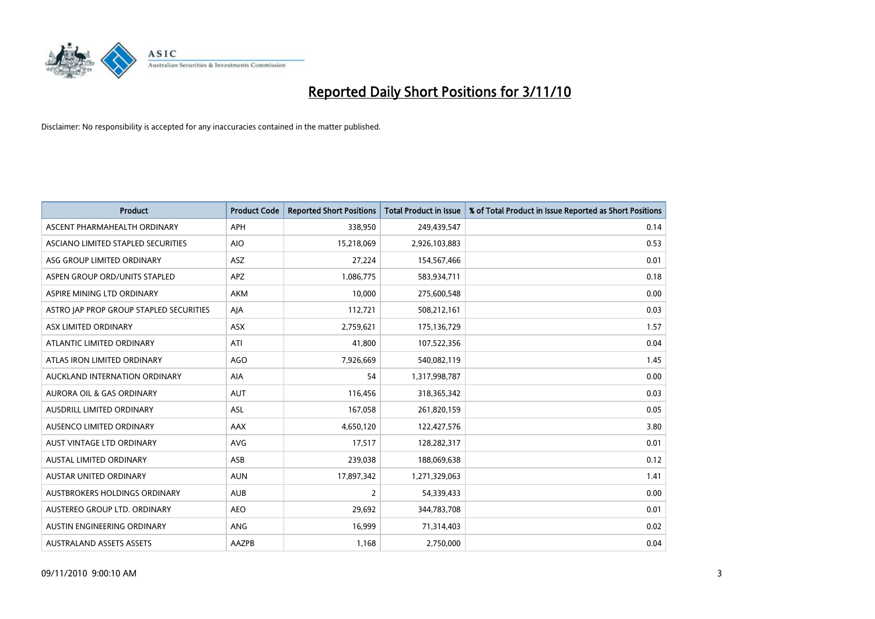

| <b>Product</b>                          | <b>Product Code</b> | <b>Reported Short Positions</b> | <b>Total Product in Issue</b> | % of Total Product in Issue Reported as Short Positions |
|-----------------------------------------|---------------------|---------------------------------|-------------------------------|---------------------------------------------------------|
| ASCENT PHARMAHEALTH ORDINARY            | <b>APH</b>          | 338,950                         | 249,439,547                   | 0.14                                                    |
| ASCIANO LIMITED STAPLED SECURITIES      | <b>AIO</b>          | 15,218,069                      | 2,926,103,883                 | 0.53                                                    |
| ASG GROUP LIMITED ORDINARY              | <b>ASZ</b>          | 27,224                          | 154,567,466                   | 0.01                                                    |
| ASPEN GROUP ORD/UNITS STAPLED           | <b>APZ</b>          | 1,086,775                       | 583,934,711                   | 0.18                                                    |
| ASPIRE MINING LTD ORDINARY              | <b>AKM</b>          | 10,000                          | 275,600,548                   | 0.00                                                    |
| ASTRO JAP PROP GROUP STAPLED SECURITIES | AJA                 | 112,721                         | 508,212,161                   | 0.03                                                    |
| ASX LIMITED ORDINARY                    | <b>ASX</b>          | 2,759,621                       | 175,136,729                   | 1.57                                                    |
| ATLANTIC LIMITED ORDINARY               | ATI                 | 41,800                          | 107,522,356                   | 0.04                                                    |
| ATLAS IRON LIMITED ORDINARY             | <b>AGO</b>          | 7,926,669                       | 540,082,119                   | 1.45                                                    |
| AUCKLAND INTERNATION ORDINARY           | <b>AIA</b>          | 54                              | 1,317,998,787                 | 0.00                                                    |
| AURORA OIL & GAS ORDINARY               | <b>AUT</b>          | 116,456                         | 318,365,342                   | 0.03                                                    |
| <b>AUSDRILL LIMITED ORDINARY</b>        | <b>ASL</b>          | 167,058                         | 261,820,159                   | 0.05                                                    |
| AUSENCO LIMITED ORDINARY                | AAX                 | 4,650,120                       | 122,427,576                   | 3.80                                                    |
| <b>AUST VINTAGE LTD ORDINARY</b>        | AVG                 | 17,517                          | 128,282,317                   | 0.01                                                    |
| <b>AUSTAL LIMITED ORDINARY</b>          | ASB                 | 239,038                         | 188,069,638                   | 0.12                                                    |
| AUSTAR UNITED ORDINARY                  | <b>AUN</b>          | 17,897,342                      | 1,271,329,063                 | 1.41                                                    |
| AUSTBROKERS HOLDINGS ORDINARY           | <b>AUB</b>          | $\overline{2}$                  | 54,339,433                    | 0.00                                                    |
| AUSTEREO GROUP LTD. ORDINARY            | <b>AEO</b>          | 29,692                          | 344,783,708                   | 0.01                                                    |
| AUSTIN ENGINEERING ORDINARY             | <b>ANG</b>          | 16,999                          | 71,314,403                    | 0.02                                                    |
| <b>AUSTRALAND ASSETS ASSETS</b>         | AAZPB               | 1,168                           | 2,750,000                     | 0.04                                                    |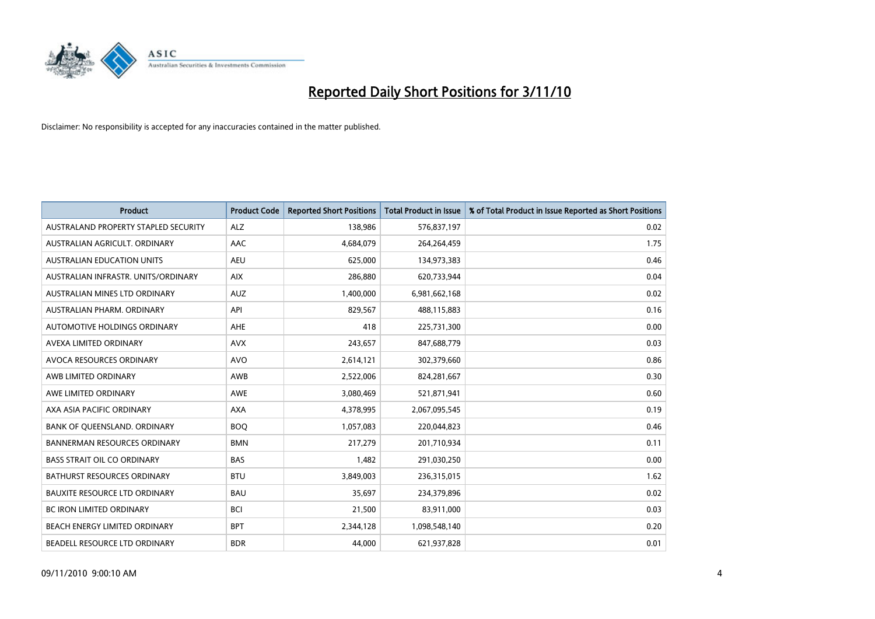

| <b>Product</b>                       | <b>Product Code</b> | <b>Reported Short Positions</b> | Total Product in Issue | % of Total Product in Issue Reported as Short Positions |
|--------------------------------------|---------------------|---------------------------------|------------------------|---------------------------------------------------------|
| AUSTRALAND PROPERTY STAPLED SECURITY | <b>ALZ</b>          | 138,986                         | 576,837,197            | 0.02                                                    |
| AUSTRALIAN AGRICULT, ORDINARY        | <b>AAC</b>          | 4,684,079                       | 264,264,459            | 1.75                                                    |
| <b>AUSTRALIAN EDUCATION UNITS</b>    | <b>AEU</b>          | 625,000                         | 134,973,383            | 0.46                                                    |
| AUSTRALIAN INFRASTR. UNITS/ORDINARY  | <b>AIX</b>          | 286,880                         | 620,733,944            | 0.04                                                    |
| AUSTRALIAN MINES LTD ORDINARY        | <b>AUZ</b>          | 1,400,000                       | 6,981,662,168          | 0.02                                                    |
| AUSTRALIAN PHARM, ORDINARY           | API                 | 829,567                         | 488,115,883            | 0.16                                                    |
| AUTOMOTIVE HOLDINGS ORDINARY         | <b>AHE</b>          | 418                             | 225,731,300            | 0.00                                                    |
| AVEXA LIMITED ORDINARY               | <b>AVX</b>          | 243,657                         | 847,688,779            | 0.03                                                    |
| AVOCA RESOURCES ORDINARY             | <b>AVO</b>          | 2,614,121                       | 302,379,660            | 0.86                                                    |
| AWB LIMITED ORDINARY                 | <b>AWB</b>          | 2,522,006                       | 824,281,667            | 0.30                                                    |
| AWE LIMITED ORDINARY                 | <b>AWE</b>          | 3,080,469                       | 521,871,941            | 0.60                                                    |
| AXA ASIA PACIFIC ORDINARY            | <b>AXA</b>          | 4,378,995                       | 2,067,095,545          | 0.19                                                    |
| BANK OF QUEENSLAND. ORDINARY         | <b>BOO</b>          | 1,057,083                       | 220,044,823            | 0.46                                                    |
| <b>BANNERMAN RESOURCES ORDINARY</b>  | <b>BMN</b>          | 217.279                         | 201,710,934            | 0.11                                                    |
| <b>BASS STRAIT OIL CO ORDINARY</b>   | <b>BAS</b>          | 1,482                           | 291,030,250            | 0.00                                                    |
| <b>BATHURST RESOURCES ORDINARY</b>   | <b>BTU</b>          | 3,849,003                       | 236,315,015            | 1.62                                                    |
| <b>BAUXITE RESOURCE LTD ORDINARY</b> | <b>BAU</b>          | 35,697                          | 234,379,896            | 0.02                                                    |
| <b>BC IRON LIMITED ORDINARY</b>      | <b>BCI</b>          | 21,500                          | 83,911,000             | 0.03                                                    |
| BEACH ENERGY LIMITED ORDINARY        | <b>BPT</b>          | 2,344,128                       | 1,098,548,140          | 0.20                                                    |
| BEADELL RESOURCE LTD ORDINARY        | <b>BDR</b>          | 44.000                          | 621,937,828            | 0.01                                                    |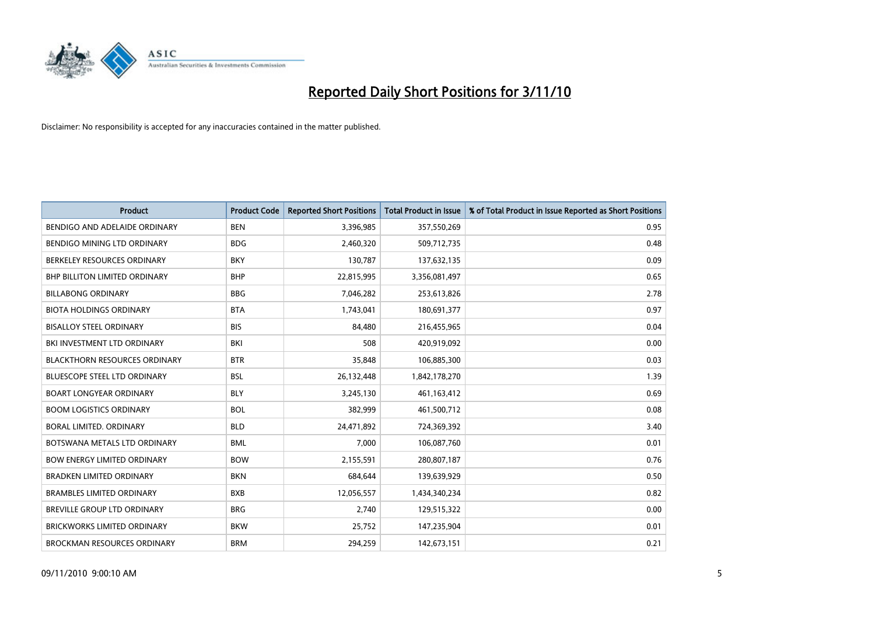

| <b>Product</b>                       | <b>Product Code</b> | <b>Reported Short Positions</b> | <b>Total Product in Issue</b> | % of Total Product in Issue Reported as Short Positions |
|--------------------------------------|---------------------|---------------------------------|-------------------------------|---------------------------------------------------------|
| BENDIGO AND ADELAIDE ORDINARY        | <b>BEN</b>          | 3,396,985                       | 357,550,269                   | 0.95                                                    |
| BENDIGO MINING LTD ORDINARY          | <b>BDG</b>          | 2,460,320                       | 509,712,735                   | 0.48                                                    |
| BERKELEY RESOURCES ORDINARY          | <b>BKY</b>          | 130,787                         | 137,632,135                   | 0.09                                                    |
| <b>BHP BILLITON LIMITED ORDINARY</b> | <b>BHP</b>          | 22,815,995                      | 3,356,081,497                 | 0.65                                                    |
| <b>BILLABONG ORDINARY</b>            | <b>BBG</b>          | 7,046,282                       | 253,613,826                   | 2.78                                                    |
| <b>BIOTA HOLDINGS ORDINARY</b>       | <b>BTA</b>          | 1,743,041                       | 180,691,377                   | 0.97                                                    |
| <b>BISALLOY STEEL ORDINARY</b>       | <b>BIS</b>          | 84,480                          | 216,455,965                   | 0.04                                                    |
| BKI INVESTMENT LTD ORDINARY          | <b>BKI</b>          | 508                             | 420,919,092                   | 0.00                                                    |
| <b>BLACKTHORN RESOURCES ORDINARY</b> | <b>BTR</b>          | 35,848                          | 106,885,300                   | 0.03                                                    |
| <b>BLUESCOPE STEEL LTD ORDINARY</b>  | <b>BSL</b>          | 26,132,448                      | 1,842,178,270                 | 1.39                                                    |
| <b>BOART LONGYEAR ORDINARY</b>       | <b>BLY</b>          | 3,245,130                       | 461, 163, 412                 | 0.69                                                    |
| <b>BOOM LOGISTICS ORDINARY</b>       | <b>BOL</b>          | 382,999                         | 461,500,712                   | 0.08                                                    |
| BORAL LIMITED. ORDINARY              | <b>BLD</b>          | 24,471,892                      | 724,369,392                   | 3.40                                                    |
| BOTSWANA METALS LTD ORDINARY         | <b>BML</b>          | 7,000                           | 106,087,760                   | 0.01                                                    |
| <b>BOW ENERGY LIMITED ORDINARY</b>   | <b>BOW</b>          | 2,155,591                       | 280,807,187                   | 0.76                                                    |
| <b>BRADKEN LIMITED ORDINARY</b>      | <b>BKN</b>          | 684,644                         | 139,639,929                   | 0.50                                                    |
| <b>BRAMBLES LIMITED ORDINARY</b>     | <b>BXB</b>          | 12,056,557                      | 1,434,340,234                 | 0.82                                                    |
| BREVILLE GROUP LTD ORDINARY          | <b>BRG</b>          | 2,740                           | 129,515,322                   | 0.00                                                    |
| <b>BRICKWORKS LIMITED ORDINARY</b>   | <b>BKW</b>          | 25,752                          | 147,235,904                   | 0.01                                                    |
| <b>BROCKMAN RESOURCES ORDINARY</b>   | <b>BRM</b>          | 294,259                         | 142,673,151                   | 0.21                                                    |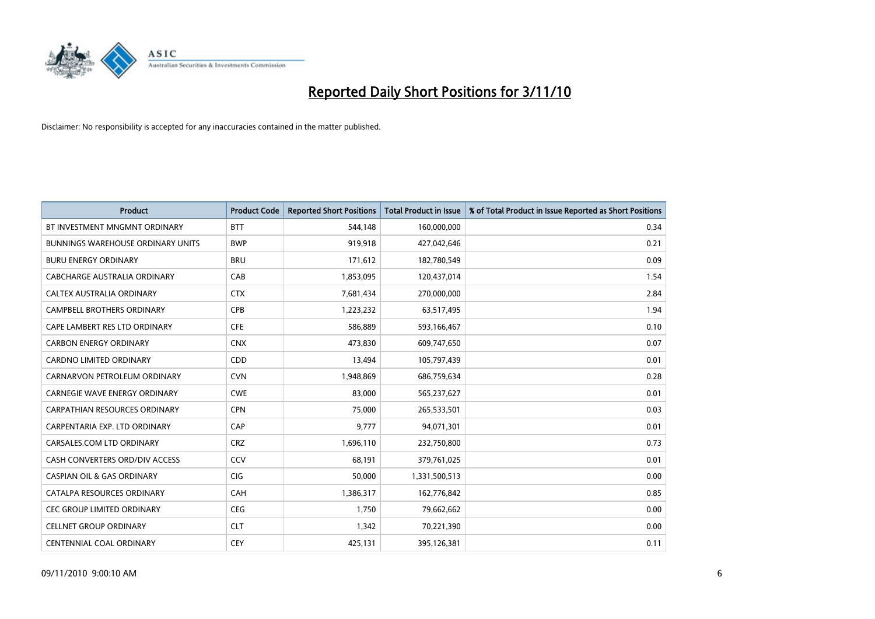

| <b>Product</b>                           | <b>Product Code</b> | <b>Reported Short Positions</b> | <b>Total Product in Issue</b> | % of Total Product in Issue Reported as Short Positions |
|------------------------------------------|---------------------|---------------------------------|-------------------------------|---------------------------------------------------------|
| BT INVESTMENT MNGMNT ORDINARY            | <b>BTT</b>          | 544,148                         | 160,000,000                   | 0.34                                                    |
| <b>BUNNINGS WAREHOUSE ORDINARY UNITS</b> | <b>BWP</b>          | 919,918                         | 427,042,646                   | 0.21                                                    |
| <b>BURU ENERGY ORDINARY</b>              | <b>BRU</b>          | 171,612                         | 182,780,549                   | 0.09                                                    |
| CABCHARGE AUSTRALIA ORDINARY             | CAB                 | 1,853,095                       | 120,437,014                   | 1.54                                                    |
| CALTEX AUSTRALIA ORDINARY                | <b>CTX</b>          | 7,681,434                       | 270,000,000                   | 2.84                                                    |
| <b>CAMPBELL BROTHERS ORDINARY</b>        | CPB                 | 1,223,232                       | 63,517,495                    | 1.94                                                    |
| CAPE LAMBERT RES LTD ORDINARY            | <b>CFE</b>          | 586,889                         | 593,166,467                   | 0.10                                                    |
| <b>CARBON ENERGY ORDINARY</b>            | <b>CNX</b>          | 473,830                         | 609,747,650                   | 0.07                                                    |
| CARDNO LIMITED ORDINARY                  | CDD                 | 13,494                          | 105,797,439                   | 0.01                                                    |
| CARNARVON PETROLEUM ORDINARY             | <b>CVN</b>          | 1,948,869                       | 686,759,634                   | 0.28                                                    |
| <b>CARNEGIE WAVE ENERGY ORDINARY</b>     | <b>CWE</b>          | 83,000                          | 565,237,627                   | 0.01                                                    |
| <b>CARPATHIAN RESOURCES ORDINARY</b>     | <b>CPN</b>          | 75,000                          | 265,533,501                   | 0.03                                                    |
| CARPENTARIA EXP. LTD ORDINARY            | CAP                 | 9,777                           | 94,071,301                    | 0.01                                                    |
| CARSALES.COM LTD ORDINARY                | <b>CRZ</b>          | 1,696,110                       | 232,750,800                   | 0.73                                                    |
| CASH CONVERTERS ORD/DIV ACCESS           | CCV                 | 68,191                          | 379,761,025                   | 0.01                                                    |
| <b>CASPIAN OIL &amp; GAS ORDINARY</b>    | <b>CIG</b>          | 50,000                          | 1,331,500,513                 | 0.00                                                    |
| CATALPA RESOURCES ORDINARY               | CAH                 | 1,386,317                       | 162,776,842                   | 0.85                                                    |
| CEC GROUP LIMITED ORDINARY               | <b>CEG</b>          | 1,750                           | 79,662,662                    | 0.00                                                    |
| <b>CELLNET GROUP ORDINARY</b>            | <b>CLT</b>          | 1,342                           | 70,221,390                    | 0.00                                                    |
| CENTENNIAL COAL ORDINARY                 | <b>CEY</b>          | 425,131                         | 395,126,381                   | 0.11                                                    |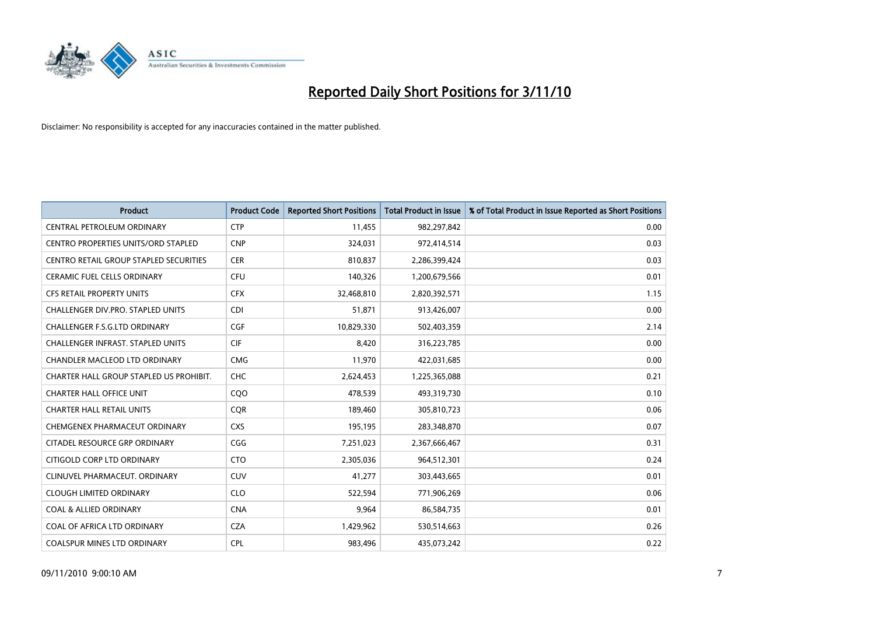

| <b>Product</b>                           | <b>Product Code</b> | <b>Reported Short Positions</b> | Total Product in Issue | % of Total Product in Issue Reported as Short Positions |
|------------------------------------------|---------------------|---------------------------------|------------------------|---------------------------------------------------------|
| CENTRAL PETROLEUM ORDINARY               | <b>CTP</b>          | 11,455                          | 982,297,842            | 0.00                                                    |
| CENTRO PROPERTIES UNITS/ORD STAPLED      | <b>CNP</b>          | 324,031                         | 972,414,514            | 0.03                                                    |
| CENTRO RETAIL GROUP STAPLED SECURITIES   | <b>CER</b>          | 810,837                         | 2,286,399,424          | 0.03                                                    |
| CERAMIC FUEL CELLS ORDINARY              | <b>CFU</b>          | 140,326                         | 1,200,679,566          | 0.01                                                    |
| CFS RETAIL PROPERTY UNITS                | <b>CFX</b>          | 32,468,810                      | 2,820,392,571          | 1.15                                                    |
| <b>CHALLENGER DIV.PRO. STAPLED UNITS</b> | <b>CDI</b>          | 51,871                          | 913,426,007            | 0.00                                                    |
| <b>CHALLENGER F.S.G.LTD ORDINARY</b>     | CGF                 | 10,829,330                      | 502,403,359            | 2.14                                                    |
| <b>CHALLENGER INFRAST, STAPLED UNITS</b> | CIF                 | 8,420                           | 316,223,785            | 0.00                                                    |
| CHANDLER MACLEOD LTD ORDINARY            | <b>CMG</b>          | 11,970                          | 422,031,685            | 0.00                                                    |
| CHARTER HALL GROUP STAPLED US PROHIBIT.  | <b>CHC</b>          | 2,624,453                       | 1,225,365,088          | 0.21                                                    |
| <b>CHARTER HALL OFFICE UNIT</b>          | CQO                 | 478,539                         | 493,319,730            | 0.10                                                    |
| <b>CHARTER HALL RETAIL UNITS</b>         | <b>COR</b>          | 189,460                         | 305,810,723            | 0.06                                                    |
| CHEMGENEX PHARMACEUT ORDINARY            | <b>CXS</b>          | 195,195                         | 283,348,870            | 0.07                                                    |
| CITADEL RESOURCE GRP ORDINARY            | CGG                 | 7,251,023                       | 2,367,666,467          | 0.31                                                    |
| CITIGOLD CORP LTD ORDINARY               | <b>CTO</b>          | 2,305,036                       | 964,512,301            | 0.24                                                    |
| CLINUVEL PHARMACEUT. ORDINARY            | <b>CUV</b>          | 41,277                          | 303,443,665            | 0.01                                                    |
| <b>CLOUGH LIMITED ORDINARY</b>           | <b>CLO</b>          | 522,594                         | 771,906,269            | 0.06                                                    |
| <b>COAL &amp; ALLIED ORDINARY</b>        | <b>CNA</b>          | 9,964                           | 86,584,735             | 0.01                                                    |
| COAL OF AFRICA LTD ORDINARY              | <b>CZA</b>          | 1,429,962                       | 530,514,663            | 0.26                                                    |
| <b>COALSPUR MINES LTD ORDINARY</b>       | <b>CPL</b>          | 983.496                         | 435,073,242            | 0.22                                                    |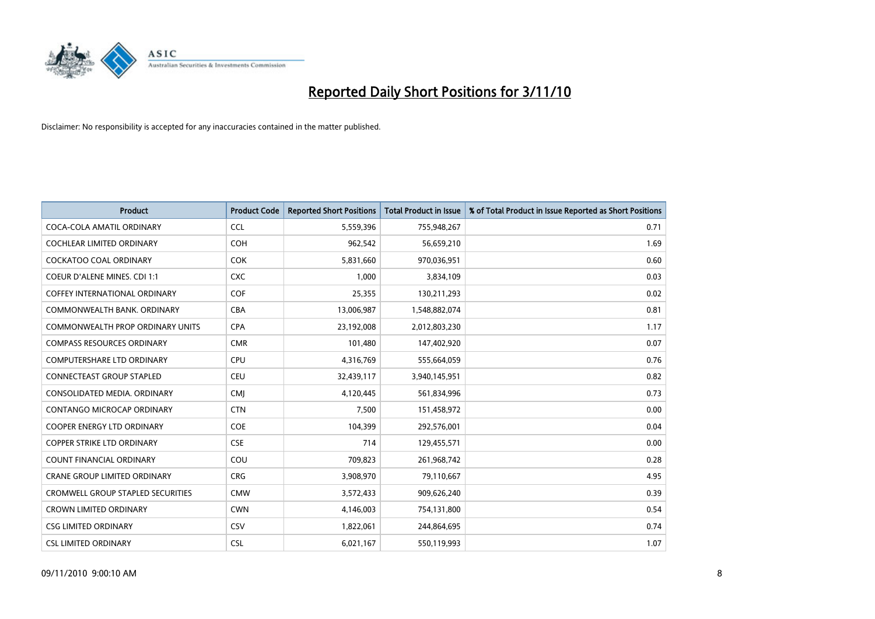

| <b>Product</b>                           | <b>Product Code</b> | <b>Reported Short Positions</b> | Total Product in Issue | % of Total Product in Issue Reported as Short Positions |
|------------------------------------------|---------------------|---------------------------------|------------------------|---------------------------------------------------------|
| COCA-COLA AMATIL ORDINARY                | <b>CCL</b>          | 5,559,396                       | 755,948,267            | 0.71                                                    |
| COCHLEAR LIMITED ORDINARY                | <b>COH</b>          | 962,542                         | 56,659,210             | 1.69                                                    |
| <b>COCKATOO COAL ORDINARY</b>            | <b>COK</b>          | 5,831,660                       | 970,036,951            | 0.60                                                    |
| COEUR D'ALENE MINES. CDI 1:1             | <b>CXC</b>          | 1,000                           | 3,834,109              | 0.03                                                    |
| <b>COFFEY INTERNATIONAL ORDINARY</b>     | COF                 | 25,355                          | 130,211,293            | 0.02                                                    |
| COMMONWEALTH BANK, ORDINARY              | <b>CBA</b>          | 13,006,987                      | 1,548,882,074          | 0.81                                                    |
| <b>COMMONWEALTH PROP ORDINARY UNITS</b>  | <b>CPA</b>          | 23,192,008                      | 2,012,803,230          | 1.17                                                    |
| <b>COMPASS RESOURCES ORDINARY</b>        | <b>CMR</b>          | 101,480                         | 147,402,920            | 0.07                                                    |
| COMPUTERSHARE LTD ORDINARY               | <b>CPU</b>          | 4,316,769                       | 555,664,059            | 0.76                                                    |
| <b>CONNECTEAST GROUP STAPLED</b>         | <b>CEU</b>          | 32,439,117                      | 3,940,145,951          | 0.82                                                    |
| CONSOLIDATED MEDIA, ORDINARY             | <b>CMI</b>          | 4,120,445                       | 561,834,996            | 0.73                                                    |
| <b>CONTANGO MICROCAP ORDINARY</b>        | <b>CTN</b>          | 7,500                           | 151,458,972            | 0.00                                                    |
| <b>COOPER ENERGY LTD ORDINARY</b>        | <b>COE</b>          | 104,399                         | 292,576,001            | 0.04                                                    |
| <b>COPPER STRIKE LTD ORDINARY</b>        | <b>CSE</b>          | 714                             | 129,455,571            | 0.00                                                    |
| <b>COUNT FINANCIAL ORDINARY</b>          | COU                 | 709,823                         | 261,968,742            | 0.28                                                    |
| CRANE GROUP LIMITED ORDINARY             | <b>CRG</b>          | 3,908,970                       | 79,110,667             | 4.95                                                    |
| <b>CROMWELL GROUP STAPLED SECURITIES</b> | <b>CMW</b>          | 3,572,433                       | 909,626,240            | 0.39                                                    |
| <b>CROWN LIMITED ORDINARY</b>            | <b>CWN</b>          | 4,146,003                       | 754,131,800            | 0.54                                                    |
| <b>CSG LIMITED ORDINARY</b>              | CSV                 | 1,822,061                       | 244,864,695            | 0.74                                                    |
| <b>CSL LIMITED ORDINARY</b>              | <b>CSL</b>          | 6,021,167                       | 550,119,993            | 1.07                                                    |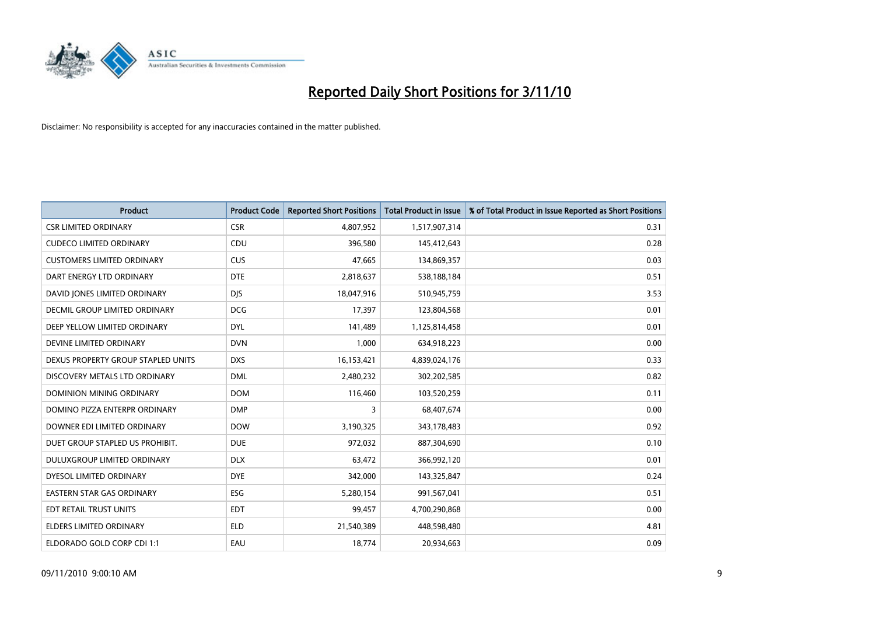

| <b>Product</b>                     | <b>Product Code</b> | <b>Reported Short Positions</b> | <b>Total Product in Issue</b> | % of Total Product in Issue Reported as Short Positions |
|------------------------------------|---------------------|---------------------------------|-------------------------------|---------------------------------------------------------|
| <b>CSR LIMITED ORDINARY</b>        | <b>CSR</b>          | 4,807,952                       | 1,517,907,314                 | 0.31                                                    |
| <b>CUDECO LIMITED ORDINARY</b>     | CDU                 | 396,580                         | 145,412,643                   | 0.28                                                    |
| <b>CUSTOMERS LIMITED ORDINARY</b>  | <b>CUS</b>          | 47,665                          | 134,869,357                   | 0.03                                                    |
| DART ENERGY LTD ORDINARY           | <b>DTE</b>          | 2,818,637                       | 538,188,184                   | 0.51                                                    |
| DAVID JONES LIMITED ORDINARY       | <b>DIS</b>          | 18,047,916                      | 510,945,759                   | 3.53                                                    |
| DECMIL GROUP LIMITED ORDINARY      | <b>DCG</b>          | 17,397                          | 123,804,568                   | 0.01                                                    |
| DEEP YELLOW LIMITED ORDINARY       | <b>DYL</b>          | 141,489                         | 1,125,814,458                 | 0.01                                                    |
| DEVINE LIMITED ORDINARY            | <b>DVN</b>          | 1,000                           | 634,918,223                   | 0.00                                                    |
| DEXUS PROPERTY GROUP STAPLED UNITS | <b>DXS</b>          | 16,153,421                      | 4,839,024,176                 | 0.33                                                    |
| DISCOVERY METALS LTD ORDINARY      | <b>DML</b>          | 2,480,232                       | 302,202,585                   | 0.82                                                    |
| <b>DOMINION MINING ORDINARY</b>    | <b>DOM</b>          | 116,460                         | 103,520,259                   | 0.11                                                    |
| DOMINO PIZZA ENTERPR ORDINARY      | <b>DMP</b>          | 3                               | 68,407,674                    | 0.00                                                    |
| DOWNER EDI LIMITED ORDINARY        | <b>DOW</b>          | 3,190,325                       | 343,178,483                   | 0.92                                                    |
| DUET GROUP STAPLED US PROHIBIT.    | <b>DUE</b>          | 972.032                         | 887,304,690                   | 0.10                                                    |
| DULUXGROUP LIMITED ORDINARY        | <b>DLX</b>          | 63,472                          | 366,992,120                   | 0.01                                                    |
| DYESOL LIMITED ORDINARY            | <b>DYE</b>          | 342,000                         | 143,325,847                   | 0.24                                                    |
| <b>EASTERN STAR GAS ORDINARY</b>   | ESG                 | 5,280,154                       | 991,567,041                   | 0.51                                                    |
| EDT RETAIL TRUST UNITS             | <b>EDT</b>          | 99,457                          | 4,700,290,868                 | 0.00                                                    |
| <b>ELDERS LIMITED ORDINARY</b>     | <b>ELD</b>          | 21,540,389                      | 448,598,480                   | 4.81                                                    |
| ELDORADO GOLD CORP CDI 1:1         | EAU                 | 18,774                          | 20,934,663                    | 0.09                                                    |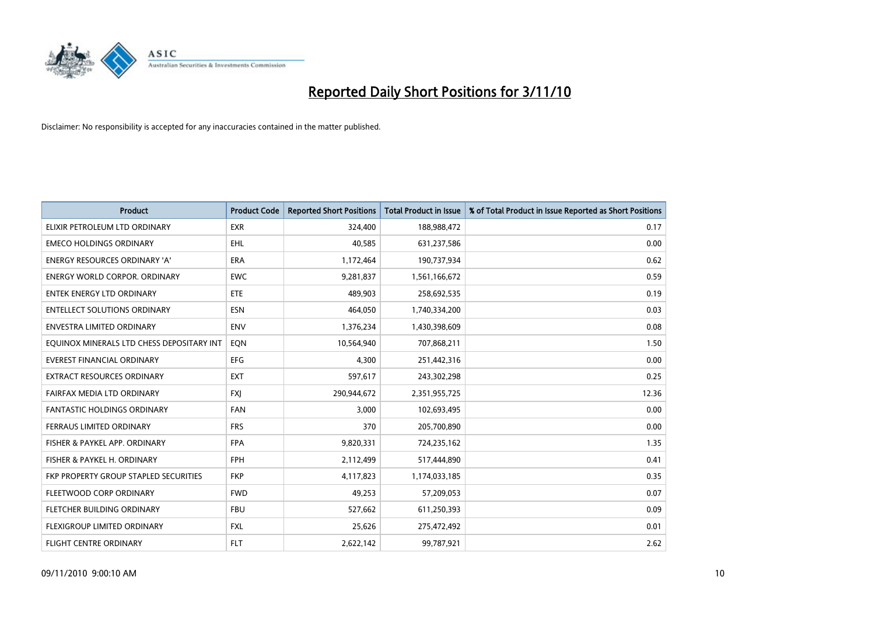

| <b>Product</b>                            | <b>Product Code</b> | <b>Reported Short Positions</b> | <b>Total Product in Issue</b> | % of Total Product in Issue Reported as Short Positions |
|-------------------------------------------|---------------------|---------------------------------|-------------------------------|---------------------------------------------------------|
| ELIXIR PETROLEUM LTD ORDINARY             | <b>EXR</b>          | 324,400                         | 188,988,472                   | 0.17                                                    |
| <b>EMECO HOLDINGS ORDINARY</b>            | <b>EHL</b>          | 40,585                          | 631,237,586                   | 0.00                                                    |
| ENERGY RESOURCES ORDINARY 'A'             | ERA                 | 1,172,464                       | 190,737,934                   | 0.62                                                    |
| <b>ENERGY WORLD CORPOR, ORDINARY</b>      | <b>EWC</b>          | 9,281,837                       | 1,561,166,672                 | 0.59                                                    |
| <b>ENTEK ENERGY LTD ORDINARY</b>          | ETE                 | 489,903                         | 258,692,535                   | 0.19                                                    |
| <b>ENTELLECT SOLUTIONS ORDINARY</b>       | <b>ESN</b>          | 464,050                         | 1,740,334,200                 | 0.03                                                    |
| ENVESTRA LIMITED ORDINARY                 | <b>ENV</b>          | 1,376,234                       | 1,430,398,609                 | 0.08                                                    |
| EQUINOX MINERALS LTD CHESS DEPOSITARY INT | EON                 | 10,564,940                      | 707,868,211                   | 1.50                                                    |
| <b>EVEREST FINANCIAL ORDINARY</b>         | <b>EFG</b>          | 4,300                           | 251,442,316                   | 0.00                                                    |
| <b>EXTRACT RESOURCES ORDINARY</b>         | <b>EXT</b>          | 597,617                         | 243,302,298                   | 0.25                                                    |
| FAIRFAX MEDIA LTD ORDINARY                | <b>FXJ</b>          | 290,944,672                     | 2,351,955,725                 | 12.36                                                   |
| <b>FANTASTIC HOLDINGS ORDINARY</b>        | <b>FAN</b>          | 3,000                           | 102,693,495                   | 0.00                                                    |
| FERRAUS LIMITED ORDINARY                  | <b>FRS</b>          | 370                             | 205,700,890                   | 0.00                                                    |
| FISHER & PAYKEL APP. ORDINARY             | <b>FPA</b>          | 9,820,331                       | 724,235,162                   | 1.35                                                    |
| FISHER & PAYKEL H. ORDINARY               | <b>FPH</b>          | 2,112,499                       | 517,444,890                   | 0.41                                                    |
| FKP PROPERTY GROUP STAPLED SECURITIES     | <b>FKP</b>          | 4,117,823                       | 1,174,033,185                 | 0.35                                                    |
| FLEETWOOD CORP ORDINARY                   | <b>FWD</b>          | 49,253                          | 57,209,053                    | 0.07                                                    |
| FLETCHER BUILDING ORDINARY                | <b>FBU</b>          | 527,662                         | 611,250,393                   | 0.09                                                    |
| FLEXIGROUP LIMITED ORDINARY               | <b>FXL</b>          | 25,626                          | 275,472,492                   | 0.01                                                    |
| <b>FLIGHT CENTRE ORDINARY</b>             | <b>FLT</b>          | 2,622,142                       | 99,787,921                    | 2.62                                                    |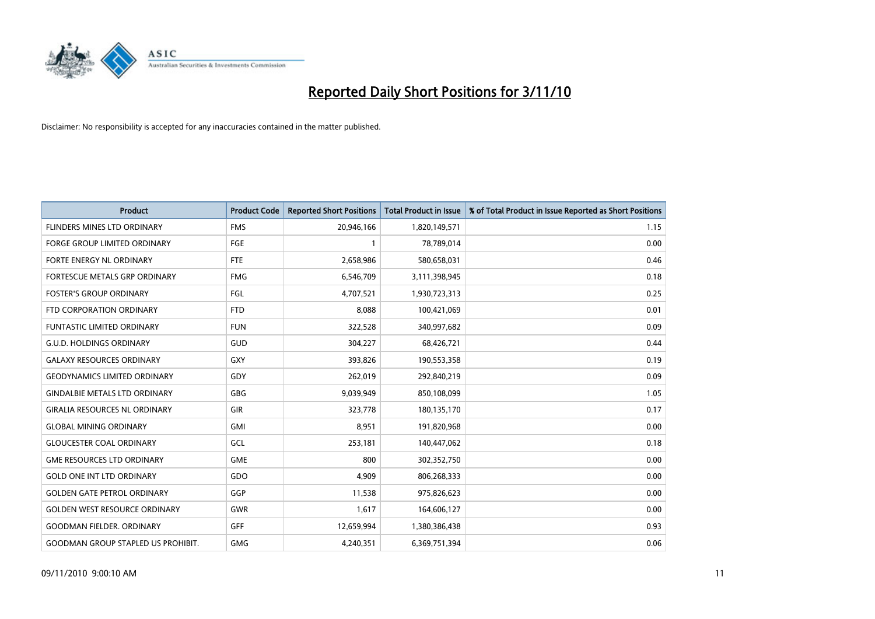

| <b>Product</b>                            | <b>Product Code</b> | <b>Reported Short Positions</b> | <b>Total Product in Issue</b> | % of Total Product in Issue Reported as Short Positions |
|-------------------------------------------|---------------------|---------------------------------|-------------------------------|---------------------------------------------------------|
| <b>FLINDERS MINES LTD ORDINARY</b>        | <b>FMS</b>          | 20,946,166                      | 1,820,149,571                 | 1.15                                                    |
| <b>FORGE GROUP LIMITED ORDINARY</b>       | <b>FGE</b>          |                                 | 78,789,014                    | 0.00                                                    |
| FORTE ENERGY NL ORDINARY                  | <b>FTE</b>          | 2,658,986                       | 580,658,031                   | 0.46                                                    |
| FORTESCUE METALS GRP ORDINARY             | <b>FMG</b>          | 6,546,709                       | 3,111,398,945                 | 0.18                                                    |
| <b>FOSTER'S GROUP ORDINARY</b>            | FGL                 | 4,707,521                       | 1,930,723,313                 | 0.25                                                    |
| FTD CORPORATION ORDINARY                  | <b>FTD</b>          | 8,088                           | 100,421,069                   | 0.01                                                    |
| <b>FUNTASTIC LIMITED ORDINARY</b>         | <b>FUN</b>          | 322,528                         | 340,997,682                   | 0.09                                                    |
| <b>G.U.D. HOLDINGS ORDINARY</b>           | <b>GUD</b>          | 304,227                         | 68,426,721                    | 0.44                                                    |
| <b>GALAXY RESOURCES ORDINARY</b>          | <b>GXY</b>          | 393,826                         | 190,553,358                   | 0.19                                                    |
| <b>GEODYNAMICS LIMITED ORDINARY</b>       | GDY                 | 262,019                         | 292,840,219                   | 0.09                                                    |
| <b>GINDALBIE METALS LTD ORDINARY</b>      | <b>GBG</b>          | 9,039,949                       | 850,108,099                   | 1.05                                                    |
| <b>GIRALIA RESOURCES NL ORDINARY</b>      | <b>GIR</b>          | 323,778                         | 180,135,170                   | 0.17                                                    |
| <b>GLOBAL MINING ORDINARY</b>             | <b>GMI</b>          | 8,951                           | 191,820,968                   | 0.00                                                    |
| <b>GLOUCESTER COAL ORDINARY</b>           | GCL                 | 253,181                         | 140,447,062                   | 0.18                                                    |
| <b>GME RESOURCES LTD ORDINARY</b>         | <b>GME</b>          | 800                             | 302,352,750                   | 0.00                                                    |
| <b>GOLD ONE INT LTD ORDINARY</b>          | GDO                 | 4,909                           | 806,268,333                   | 0.00                                                    |
| <b>GOLDEN GATE PETROL ORDINARY</b>        | GGP                 | 11,538                          | 975,826,623                   | 0.00                                                    |
| <b>GOLDEN WEST RESOURCE ORDINARY</b>      | <b>GWR</b>          | 1,617                           | 164,606,127                   | 0.00                                                    |
| GOODMAN FIELDER. ORDINARY                 | <b>GFF</b>          | 12,659,994                      | 1,380,386,438                 | 0.93                                                    |
| <b>GOODMAN GROUP STAPLED US PROHIBIT.</b> | <b>GMG</b>          | 4,240,351                       | 6,369,751,394                 | 0.06                                                    |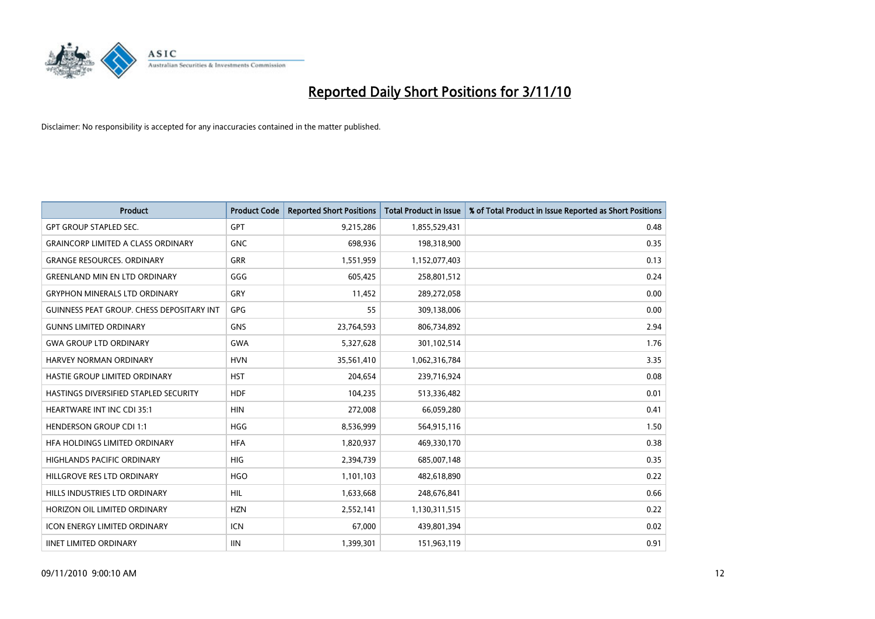

| <b>Product</b>                                   | <b>Product Code</b> | <b>Reported Short Positions</b> | Total Product in Issue | % of Total Product in Issue Reported as Short Positions |
|--------------------------------------------------|---------------------|---------------------------------|------------------------|---------------------------------------------------------|
| <b>GPT GROUP STAPLED SEC.</b>                    | <b>GPT</b>          | 9,215,286                       | 1,855,529,431          | 0.48                                                    |
| <b>GRAINCORP LIMITED A CLASS ORDINARY</b>        | <b>GNC</b>          | 698,936                         | 198,318,900            | 0.35                                                    |
| <b>GRANGE RESOURCES, ORDINARY</b>                | <b>GRR</b>          | 1,551,959                       | 1,152,077,403          | 0.13                                                    |
| <b>GREENLAND MIN EN LTD ORDINARY</b>             | GGG                 | 605,425                         | 258,801,512            | 0.24                                                    |
| <b>GRYPHON MINERALS LTD ORDINARY</b>             | GRY                 | 11,452                          | 289,272,058            | 0.00                                                    |
| <b>GUINNESS PEAT GROUP. CHESS DEPOSITARY INT</b> | GPG                 | 55                              | 309,138,006            | 0.00                                                    |
| <b>GUNNS LIMITED ORDINARY</b>                    | <b>GNS</b>          | 23,764,593                      | 806,734,892            | 2.94                                                    |
| <b>GWA GROUP LTD ORDINARY</b>                    | <b>GWA</b>          | 5,327,628                       | 301,102,514            | 1.76                                                    |
| HARVEY NORMAN ORDINARY                           | <b>HVN</b>          | 35,561,410                      | 1,062,316,784          | 3.35                                                    |
| HASTIE GROUP LIMITED ORDINARY                    | <b>HST</b>          | 204,654                         | 239,716,924            | 0.08                                                    |
| <b>HASTINGS DIVERSIFIED STAPLED SECURITY</b>     | <b>HDF</b>          | 104,235                         | 513,336,482            | 0.01                                                    |
| <b>HEARTWARE INT INC CDI 35:1</b>                | <b>HIN</b>          | 272,008                         | 66,059,280             | 0.41                                                    |
| <b>HENDERSON GROUP CDI 1:1</b>                   | <b>HGG</b>          | 8,536,999                       | 564,915,116            | 1.50                                                    |
| HFA HOLDINGS LIMITED ORDINARY                    | <b>HFA</b>          | 1,820,937                       | 469,330,170            | 0.38                                                    |
| <b>HIGHLANDS PACIFIC ORDINARY</b>                | <b>HIG</b>          | 2,394,739                       | 685,007,148            | 0.35                                                    |
| HILLGROVE RES LTD ORDINARY                       | <b>HGO</b>          | 1,101,103                       | 482,618,890            | 0.22                                                    |
| HILLS INDUSTRIES LTD ORDINARY                    | <b>HIL</b>          | 1,633,668                       | 248,676,841            | 0.66                                                    |
| HORIZON OIL LIMITED ORDINARY                     | <b>HZN</b>          | 2,552,141                       | 1,130,311,515          | 0.22                                                    |
| <b>ICON ENERGY LIMITED ORDINARY</b>              | <b>ICN</b>          | 67,000                          | 439,801,394            | 0.02                                                    |
| <b>IINET LIMITED ORDINARY</b>                    | <b>IIN</b>          | 1,399,301                       | 151,963,119            | 0.91                                                    |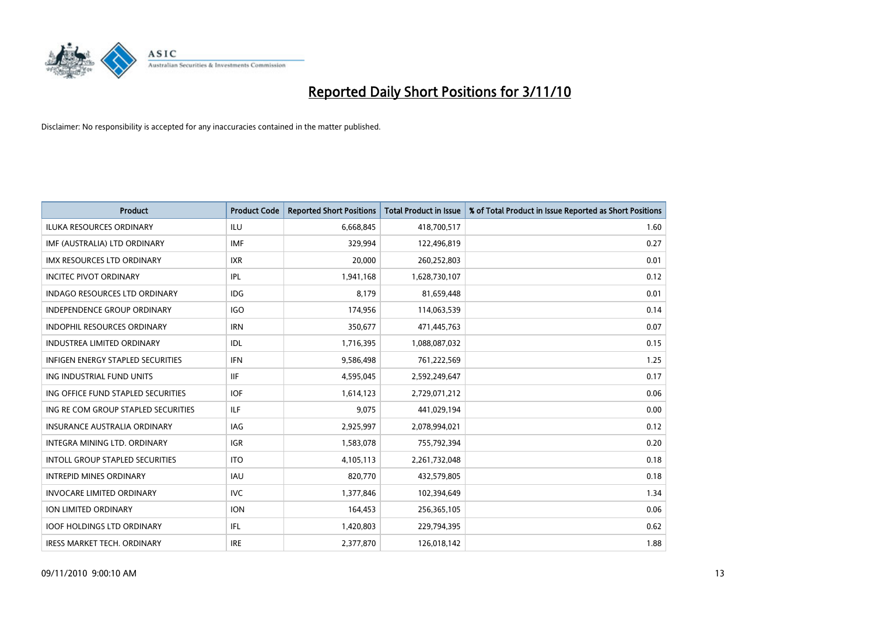

| <b>Product</b>                           | <b>Product Code</b> | <b>Reported Short Positions</b> | <b>Total Product in Issue</b> | % of Total Product in Issue Reported as Short Positions |
|------------------------------------------|---------------------|---------------------------------|-------------------------------|---------------------------------------------------------|
| <b>ILUKA RESOURCES ORDINARY</b>          | ILU                 | 6,668,845                       | 418,700,517                   | 1.60                                                    |
| IMF (AUSTRALIA) LTD ORDINARY             | <b>IMF</b>          | 329,994                         | 122,496,819                   | 0.27                                                    |
| <b>IMX RESOURCES LTD ORDINARY</b>        | <b>IXR</b>          | 20,000                          | 260,252,803                   | 0.01                                                    |
| <b>INCITEC PIVOT ORDINARY</b>            | <b>IPL</b>          | 1,941,168                       | 1,628,730,107                 | 0.12                                                    |
| <b>INDAGO RESOURCES LTD ORDINARY</b>     | IDG                 | 8,179                           | 81,659,448                    | 0.01                                                    |
| <b>INDEPENDENCE GROUP ORDINARY</b>       | <b>IGO</b>          | 174,956                         | 114,063,539                   | 0.14                                                    |
| <b>INDOPHIL RESOURCES ORDINARY</b>       | <b>IRN</b>          | 350,677                         | 471,445,763                   | 0.07                                                    |
| <b>INDUSTREA LIMITED ORDINARY</b>        | IDL                 | 1,716,395                       | 1,088,087,032                 | 0.15                                                    |
| <b>INFIGEN ENERGY STAPLED SECURITIES</b> | <b>IFN</b>          | 9,586,498                       | 761,222,569                   | 1.25                                                    |
| ING INDUSTRIAL FUND UNITS                | <b>IIF</b>          | 4,595,045                       | 2,592,249,647                 | 0.17                                                    |
| ING OFFICE FUND STAPLED SECURITIES       | <b>IOF</b>          | 1,614,123                       | 2,729,071,212                 | 0.06                                                    |
| ING RE COM GROUP STAPLED SECURITIES      | <b>ILF</b>          | 9,075                           | 441,029,194                   | 0.00                                                    |
| <b>INSURANCE AUSTRALIA ORDINARY</b>      | IAG                 | 2,925,997                       | 2,078,994,021                 | 0.12                                                    |
| INTEGRA MINING LTD, ORDINARY             | <b>IGR</b>          | 1,583,078                       | 755,792,394                   | 0.20                                                    |
| <b>INTOLL GROUP STAPLED SECURITIES</b>   | <b>ITO</b>          | 4,105,113                       | 2,261,732,048                 | 0.18                                                    |
| <b>INTREPID MINES ORDINARY</b>           | <b>IAU</b>          | 820,770                         | 432,579,805                   | 0.18                                                    |
| <b>INVOCARE LIMITED ORDINARY</b>         | <b>IVC</b>          | 1,377,846                       | 102,394,649                   | 1.34                                                    |
| ION LIMITED ORDINARY                     | <b>ION</b>          | 164,453                         | 256,365,105                   | 0.06                                                    |
| <b>IOOF HOLDINGS LTD ORDINARY</b>        | IFL.                | 1,420,803                       | 229,794,395                   | 0.62                                                    |
| <b>IRESS MARKET TECH. ORDINARY</b>       | <b>IRE</b>          | 2,377,870                       | 126,018,142                   | 1.88                                                    |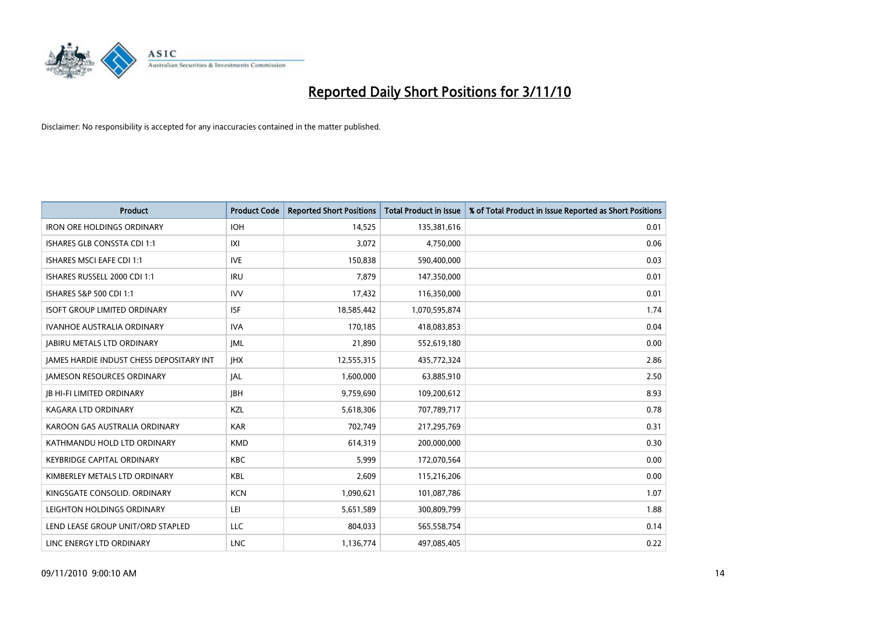

| <b>Product</b>                           | <b>Product Code</b> | <b>Reported Short Positions</b> | Total Product in Issue | % of Total Product in Issue Reported as Short Positions |
|------------------------------------------|---------------------|---------------------------------|------------------------|---------------------------------------------------------|
| <b>IRON ORE HOLDINGS ORDINARY</b>        | <b>IOH</b>          | 14,525                          | 135,381,616            | 0.01                                                    |
| ISHARES GLB CONSSTA CDI 1:1              | X                   | 3,072                           | 4,750,000              | 0.06                                                    |
| <b>ISHARES MSCI EAFE CDI 1:1</b>         | <b>IVE</b>          | 150,838                         | 590,400,000            | 0.03                                                    |
| ISHARES RUSSELL 2000 CDI 1:1             | <b>IRU</b>          | 7,879                           | 147,350,000            | 0.01                                                    |
| ISHARES S&P 500 CDI 1:1                  | <b>IVV</b>          | 17,432                          | 116,350,000            | 0.01                                                    |
| <b>ISOFT GROUP LIMITED ORDINARY</b>      | <b>ISF</b>          | 18,585,442                      | 1,070,595,874          | 1.74                                                    |
| <b>IVANHOE AUSTRALIA ORDINARY</b>        | <b>IVA</b>          | 170.185                         | 418,083,853            | 0.04                                                    |
| <b>JABIRU METALS LTD ORDINARY</b>        | <b>IML</b>          | 21,890                          | 552,619,180            | 0.00                                                    |
| JAMES HARDIE INDUST CHESS DEPOSITARY INT | <b>IHX</b>          | 12,555,315                      | 435,772,324            | 2.86                                                    |
| <b>JAMESON RESOURCES ORDINARY</b>        | JAL                 | 1,600,000                       | 63,885,910             | 2.50                                                    |
| <b>JB HI-FI LIMITED ORDINARY</b>         | <b>IBH</b>          | 9,759,690                       | 109,200,612            | 8.93                                                    |
| KAGARA LTD ORDINARY                      | KZL                 | 5,618,306                       | 707,789,717            | 0.78                                                    |
| KAROON GAS AUSTRALIA ORDINARY            | <b>KAR</b>          | 702,749                         | 217,295,769            | 0.31                                                    |
| KATHMANDU HOLD LTD ORDINARY              | <b>KMD</b>          | 614,319                         | 200,000,000            | 0.30                                                    |
| <b>KEYBRIDGE CAPITAL ORDINARY</b>        | <b>KBC</b>          | 5,999                           | 172,070,564            | 0.00                                                    |
| KIMBERLEY METALS LTD ORDINARY            | <b>KBL</b>          | 2,609                           | 115,216,206            | 0.00                                                    |
| KINGSGATE CONSOLID. ORDINARY             | <b>KCN</b>          | 1,090,621                       | 101,087,786            | 1.07                                                    |
| LEIGHTON HOLDINGS ORDINARY               | LEI                 | 5,651,589                       | 300,809,799            | 1.88                                                    |
| LEND LEASE GROUP UNIT/ORD STAPLED        | <b>LLC</b>          | 804,033                         | 565,558,754            | 0.14                                                    |
| LINC ENERGY LTD ORDINARY                 | <b>LNC</b>          | 1,136,774                       | 497,085,405            | 0.22                                                    |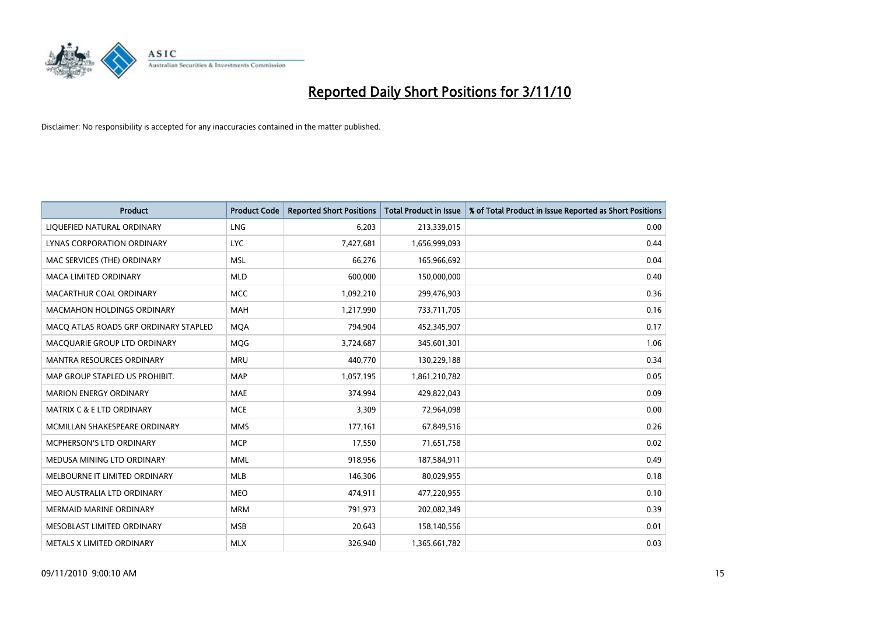

| <b>Product</b>                        | <b>Product Code</b> | <b>Reported Short Positions</b> | Total Product in Issue | % of Total Product in Issue Reported as Short Positions |
|---------------------------------------|---------------------|---------------------------------|------------------------|---------------------------------------------------------|
| LIQUEFIED NATURAL ORDINARY            | LNG                 | 6,203                           | 213,339,015            | 0.00                                                    |
| LYNAS CORPORATION ORDINARY            | <b>LYC</b>          | 7,427,681                       | 1,656,999,093          | 0.44                                                    |
| MAC SERVICES (THE) ORDINARY           | <b>MSL</b>          | 66,276                          | 165,966,692            | 0.04                                                    |
| MACA LIMITED ORDINARY                 | <b>MLD</b>          | 600,000                         | 150,000,000            | 0.40                                                    |
| MACARTHUR COAL ORDINARY               | <b>MCC</b>          | 1,092,210                       | 299,476,903            | 0.36                                                    |
| <b>MACMAHON HOLDINGS ORDINARY</b>     | <b>MAH</b>          | 1,217,990                       | 733,711,705            | 0.16                                                    |
| MACO ATLAS ROADS GRP ORDINARY STAPLED | <b>MOA</b>          | 794,904                         | 452,345,907            | 0.17                                                    |
| MACQUARIE GROUP LTD ORDINARY          | MQG                 | 3,724,687                       | 345,601,301            | 1.06                                                    |
| <b>MANTRA RESOURCES ORDINARY</b>      | <b>MRU</b>          | 440.770                         | 130,229,188            | 0.34                                                    |
| MAP GROUP STAPLED US PROHIBIT.        | <b>MAP</b>          | 1,057,195                       | 1,861,210,782          | 0.05                                                    |
| <b>MARION ENERGY ORDINARY</b>         | <b>MAE</b>          | 374,994                         | 429,822,043            | 0.09                                                    |
| <b>MATRIX C &amp; E LTD ORDINARY</b>  | <b>MCE</b>          | 3,309                           | 72,964,098             | 0.00                                                    |
| MCMILLAN SHAKESPEARE ORDINARY         | <b>MMS</b>          | 177,161                         | 67,849,516             | 0.26                                                    |
| MCPHERSON'S LTD ORDINARY              | <b>MCP</b>          | 17,550                          | 71,651,758             | 0.02                                                    |
| MEDUSA MINING LTD ORDINARY            | <b>MML</b>          | 918,956                         | 187,584,911            | 0.49                                                    |
| MELBOURNE IT LIMITED ORDINARY         | <b>MLB</b>          | 146,306                         | 80,029,955             | 0.18                                                    |
| MEO AUSTRALIA LTD ORDINARY            | <b>MEO</b>          | 474,911                         | 477,220,955            | 0.10                                                    |
| MERMAID MARINE ORDINARY               | <b>MRM</b>          | 791,973                         | 202,082,349            | 0.39                                                    |
| MESOBLAST LIMITED ORDINARY            | <b>MSB</b>          | 20,643                          | 158,140,556            | 0.01                                                    |
| METALS X LIMITED ORDINARY             | <b>MLX</b>          | 326,940                         | 1,365,661,782          | 0.03                                                    |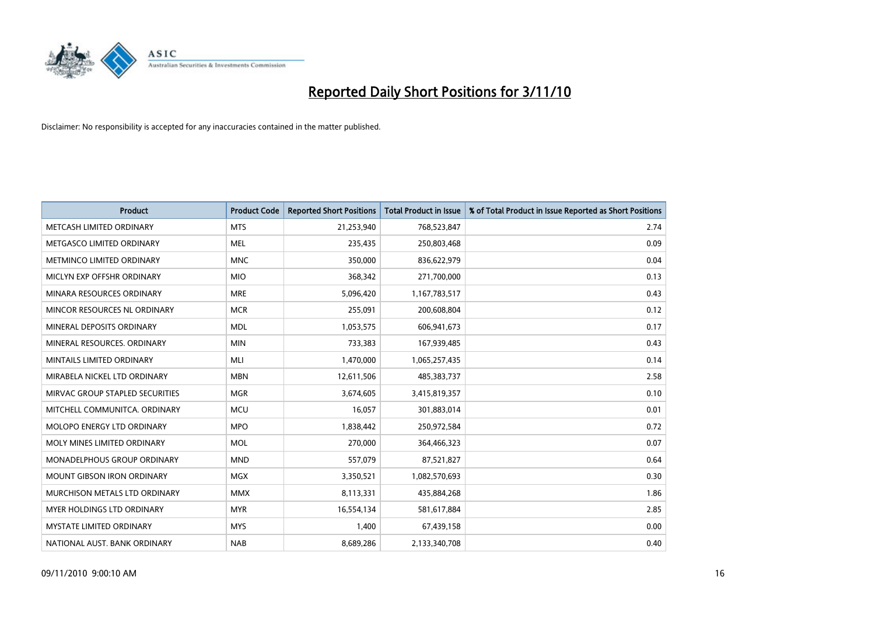

| <b>Product</b>                    | <b>Product Code</b> | <b>Reported Short Positions</b> | <b>Total Product in Issue</b> | % of Total Product in Issue Reported as Short Positions |
|-----------------------------------|---------------------|---------------------------------|-------------------------------|---------------------------------------------------------|
| METCASH LIMITED ORDINARY          | <b>MTS</b>          | 21,253,940                      | 768,523,847                   | 2.74                                                    |
| METGASCO LIMITED ORDINARY         | <b>MEL</b>          | 235,435                         | 250,803,468                   | 0.09                                                    |
| METMINCO LIMITED ORDINARY         | <b>MNC</b>          | 350,000                         | 836,622,979                   | 0.04                                                    |
| MICLYN EXP OFFSHR ORDINARY        | <b>MIO</b>          | 368,342                         | 271,700,000                   | 0.13                                                    |
| MINARA RESOURCES ORDINARY         | <b>MRE</b>          | 5,096,420                       | 1,167,783,517                 | 0.43                                                    |
| MINCOR RESOURCES NL ORDINARY      | <b>MCR</b>          | 255,091                         | 200,608,804                   | 0.12                                                    |
| MINERAL DEPOSITS ORDINARY         | <b>MDL</b>          | 1,053,575                       | 606,941,673                   | 0.17                                                    |
| MINERAL RESOURCES. ORDINARY       | <b>MIN</b>          | 733,383                         | 167,939,485                   | 0.43                                                    |
| MINTAILS LIMITED ORDINARY         | MLI                 | 1,470,000                       | 1,065,257,435                 | 0.14                                                    |
| MIRABELA NICKEL LTD ORDINARY      | <b>MBN</b>          | 12,611,506                      | 485,383,737                   | 2.58                                                    |
| MIRVAC GROUP STAPLED SECURITIES   | <b>MGR</b>          | 3,674,605                       | 3,415,819,357                 | 0.10                                                    |
| MITCHELL COMMUNITCA. ORDINARY     | <b>MCU</b>          | 16,057                          | 301,883,014                   | 0.01                                                    |
| <b>MOLOPO ENERGY LTD ORDINARY</b> | <b>MPO</b>          | 1,838,442                       | 250,972,584                   | 0.72                                                    |
| MOLY MINES LIMITED ORDINARY       | <b>MOL</b>          | 270,000                         | 364,466,323                   | 0.07                                                    |
| MONADELPHOUS GROUP ORDINARY       | <b>MND</b>          | 557,079                         | 87,521,827                    | 0.64                                                    |
| <b>MOUNT GIBSON IRON ORDINARY</b> | <b>MGX</b>          | 3,350,521                       | 1,082,570,693                 | 0.30                                                    |
| MURCHISON METALS LTD ORDINARY     | <b>MMX</b>          | 8,113,331                       | 435,884,268                   | 1.86                                                    |
| MYER HOLDINGS LTD ORDINARY        | <b>MYR</b>          | 16,554,134                      | 581,617,884                   | 2.85                                                    |
| <b>MYSTATE LIMITED ORDINARY</b>   | <b>MYS</b>          | 1,400                           | 67,439,158                    | 0.00                                                    |
| NATIONAL AUST. BANK ORDINARY      | <b>NAB</b>          | 8,689,286                       | 2,133,340,708                 | 0.40                                                    |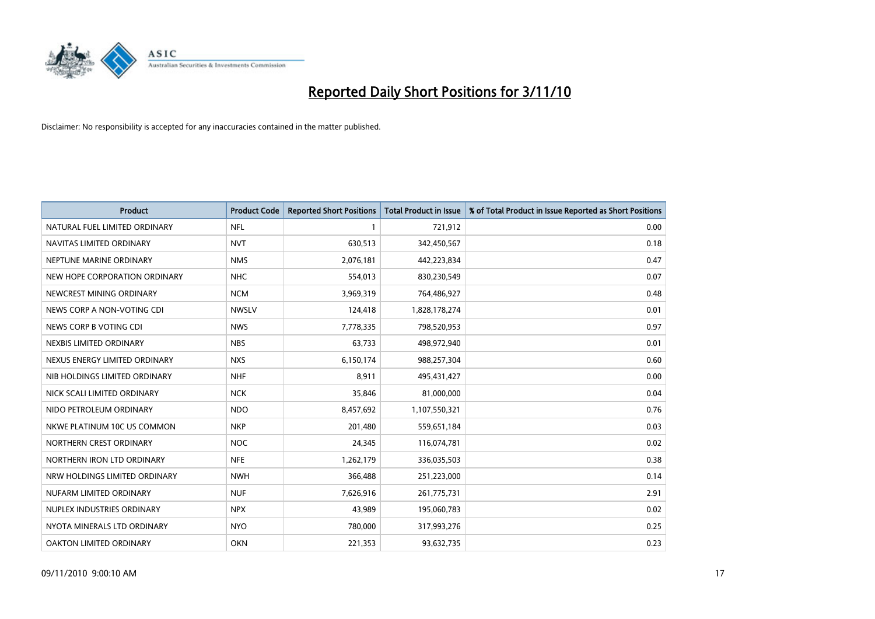

| <b>Product</b>                 | <b>Product Code</b> | <b>Reported Short Positions</b> | <b>Total Product in Issue</b> | % of Total Product in Issue Reported as Short Positions |
|--------------------------------|---------------------|---------------------------------|-------------------------------|---------------------------------------------------------|
| NATURAL FUEL LIMITED ORDINARY  | <b>NFL</b>          |                                 | 721,912                       | 0.00                                                    |
| NAVITAS LIMITED ORDINARY       | <b>NVT</b>          | 630,513                         | 342,450,567                   | 0.18                                                    |
| NEPTUNE MARINE ORDINARY        | <b>NMS</b>          | 2,076,181                       | 442,223,834                   | 0.47                                                    |
| NEW HOPE CORPORATION ORDINARY  | <b>NHC</b>          | 554,013                         | 830,230,549                   | 0.07                                                    |
| NEWCREST MINING ORDINARY       | <b>NCM</b>          | 3,969,319                       | 764,486,927                   | 0.48                                                    |
| NEWS CORP A NON-VOTING CDI     | <b>NWSLV</b>        | 124,418                         | 1,828,178,274                 | 0.01                                                    |
| NEWS CORP B VOTING CDI         | <b>NWS</b>          | 7,778,335                       | 798,520,953                   | 0.97                                                    |
| NEXBIS LIMITED ORDINARY        | <b>NBS</b>          | 63,733                          | 498,972,940                   | 0.01                                                    |
| NEXUS ENERGY LIMITED ORDINARY  | <b>NXS</b>          | 6,150,174                       | 988,257,304                   | 0.60                                                    |
| NIB HOLDINGS LIMITED ORDINARY  | <b>NHF</b>          | 8,911                           | 495,431,427                   | 0.00                                                    |
| NICK SCALI LIMITED ORDINARY    | <b>NCK</b>          | 35,846                          | 81,000,000                    | 0.04                                                    |
| NIDO PETROLEUM ORDINARY        | <b>NDO</b>          | 8,457,692                       | 1,107,550,321                 | 0.76                                                    |
| NKWE PLATINUM 10C US COMMON    | <b>NKP</b>          | 201,480                         | 559,651,184                   | 0.03                                                    |
| NORTHERN CREST ORDINARY        | <b>NOC</b>          | 24,345                          | 116,074,781                   | 0.02                                                    |
| NORTHERN IRON LTD ORDINARY     | <b>NFE</b>          | 1,262,179                       | 336,035,503                   | 0.38                                                    |
| NRW HOLDINGS LIMITED ORDINARY  | <b>NWH</b>          | 366,488                         | 251,223,000                   | 0.14                                                    |
| NUFARM LIMITED ORDINARY        | <b>NUF</b>          | 7,626,916                       | 261,775,731                   | 2.91                                                    |
| NUPLEX INDUSTRIES ORDINARY     | <b>NPX</b>          | 43,989                          | 195,060,783                   | 0.02                                                    |
| NYOTA MINERALS LTD ORDINARY    | <b>NYO</b>          | 780,000                         | 317,993,276                   | 0.25                                                    |
| <b>OAKTON LIMITED ORDINARY</b> | <b>OKN</b>          | 221,353                         | 93,632,735                    | 0.23                                                    |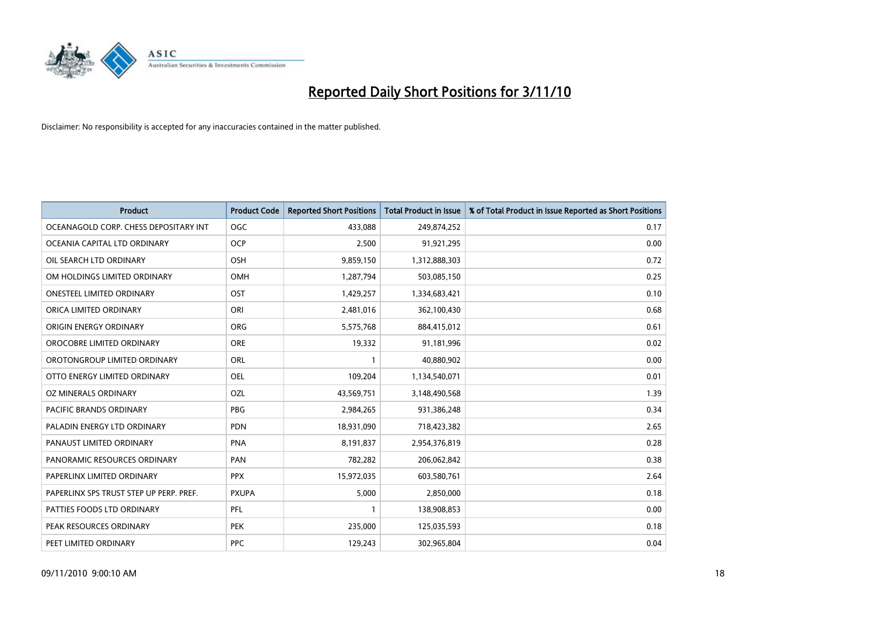

| <b>Product</b>                          | <b>Product Code</b> | <b>Reported Short Positions</b> | Total Product in Issue | % of Total Product in Issue Reported as Short Positions |
|-----------------------------------------|---------------------|---------------------------------|------------------------|---------------------------------------------------------|
| OCEANAGOLD CORP. CHESS DEPOSITARY INT   | <b>OGC</b>          | 433,088                         | 249,874,252            | 0.17                                                    |
| OCEANIA CAPITAL LTD ORDINARY            | <b>OCP</b>          | 2,500                           | 91,921,295             | 0.00                                                    |
| OIL SEARCH LTD ORDINARY                 | OSH                 | 9,859,150                       | 1,312,888,303          | 0.72                                                    |
| OM HOLDINGS LIMITED ORDINARY            | OMH                 | 1,287,794                       | 503,085,150            | 0.25                                                    |
| <b>ONESTEEL LIMITED ORDINARY</b>        | OST                 | 1,429,257                       | 1,334,683,421          | 0.10                                                    |
| ORICA LIMITED ORDINARY                  | ORI                 | 2,481,016                       | 362,100,430            | 0.68                                                    |
| ORIGIN ENERGY ORDINARY                  | <b>ORG</b>          | 5,575,768                       | 884,415,012            | 0.61                                                    |
| OROCOBRE LIMITED ORDINARY               | <b>ORE</b>          | 19,332                          | 91,181,996             | 0.02                                                    |
| OROTONGROUP LIMITED ORDINARY            | ORL                 |                                 | 40,880,902             | 0.00                                                    |
| OTTO ENERGY LIMITED ORDINARY            | OEL                 | 109,204                         | 1,134,540,071          | 0.01                                                    |
| OZ MINERALS ORDINARY                    | OZL                 | 43,569,751                      | 3,148,490,568          | 1.39                                                    |
| PACIFIC BRANDS ORDINARY                 | <b>PBG</b>          | 2,984,265                       | 931,386,248            | 0.34                                                    |
| PALADIN ENERGY LTD ORDINARY             | <b>PDN</b>          | 18,931,090                      | 718,423,382            | 2.65                                                    |
| PANAUST LIMITED ORDINARY                | <b>PNA</b>          | 8,191,837                       | 2,954,376,819          | 0.28                                                    |
| PANORAMIC RESOURCES ORDINARY            | PAN                 | 782,282                         | 206,062,842            | 0.38                                                    |
| PAPERLINX LIMITED ORDINARY              | <b>PPX</b>          | 15,972,035                      | 603,580,761            | 2.64                                                    |
| PAPERLINX SPS TRUST STEP UP PERP. PREF. | <b>PXUPA</b>        | 5,000                           | 2,850,000              | 0.18                                                    |
| PATTIES FOODS LTD ORDINARY              | PFL                 |                                 | 138,908,853            | 0.00                                                    |
| PEAK RESOURCES ORDINARY                 | <b>PEK</b>          | 235,000                         | 125,035,593            | 0.18                                                    |
| PEET LIMITED ORDINARY                   | <b>PPC</b>          | 129,243                         | 302,965,804            | 0.04                                                    |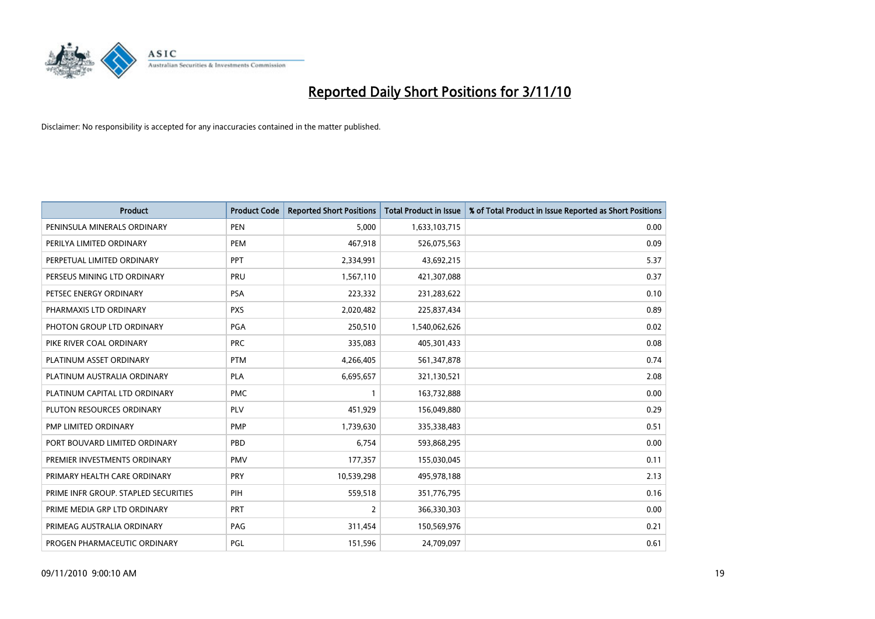

| <b>Product</b>                       | <b>Product Code</b> | <b>Reported Short Positions</b> | <b>Total Product in Issue</b> | % of Total Product in Issue Reported as Short Positions |
|--------------------------------------|---------------------|---------------------------------|-------------------------------|---------------------------------------------------------|
| PENINSULA MINERALS ORDINARY          | <b>PEN</b>          | 5,000                           | 1,633,103,715                 | 0.00                                                    |
| PERILYA LIMITED ORDINARY             | PEM                 | 467,918                         | 526,075,563                   | 0.09                                                    |
| PERPETUAL LIMITED ORDINARY           | PPT                 | 2,334,991                       | 43,692,215                    | 5.37                                                    |
| PERSEUS MINING LTD ORDINARY          | PRU                 | 1,567,110                       | 421,307,088                   | 0.37                                                    |
| PETSEC ENERGY ORDINARY               | <b>PSA</b>          | 223,332                         | 231,283,622                   | 0.10                                                    |
| PHARMAXIS LTD ORDINARY               | <b>PXS</b>          | 2,020,482                       | 225,837,434                   | 0.89                                                    |
| PHOTON GROUP LTD ORDINARY            | <b>PGA</b>          | 250,510                         | 1,540,062,626                 | 0.02                                                    |
| PIKE RIVER COAL ORDINARY             | <b>PRC</b>          | 335,083                         | 405,301,433                   | 0.08                                                    |
| PLATINUM ASSET ORDINARY              | <b>PTM</b>          | 4,266,405                       | 561,347,878                   | 0.74                                                    |
| PLATINUM AUSTRALIA ORDINARY          | <b>PLA</b>          | 6,695,657                       | 321,130,521                   | 2.08                                                    |
| PLATINUM CAPITAL LTD ORDINARY        | <b>PMC</b>          |                                 | 163,732,888                   | 0.00                                                    |
| PLUTON RESOURCES ORDINARY            | PLV                 | 451,929                         | 156,049,880                   | 0.29                                                    |
| PMP LIMITED ORDINARY                 | <b>PMP</b>          | 1,739,630                       | 335,338,483                   | 0.51                                                    |
| PORT BOUVARD LIMITED ORDINARY        | PBD                 | 6,754                           | 593,868,295                   | 0.00                                                    |
| PREMIER INVESTMENTS ORDINARY         | <b>PMV</b>          | 177,357                         | 155,030,045                   | 0.11                                                    |
| PRIMARY HEALTH CARE ORDINARY         | PRY                 | 10,539,298                      | 495,978,188                   | 2.13                                                    |
| PRIME INFR GROUP. STAPLED SECURITIES | PIH                 | 559,518                         | 351,776,795                   | 0.16                                                    |
| PRIME MEDIA GRP LTD ORDINARY         | PRT                 | $\overline{2}$                  | 366,330,303                   | 0.00                                                    |
| PRIMEAG AUSTRALIA ORDINARY           | PAG                 | 311,454                         | 150,569,976                   | 0.21                                                    |
| PROGEN PHARMACEUTIC ORDINARY         | PGL                 | 151,596                         | 24,709,097                    | 0.61                                                    |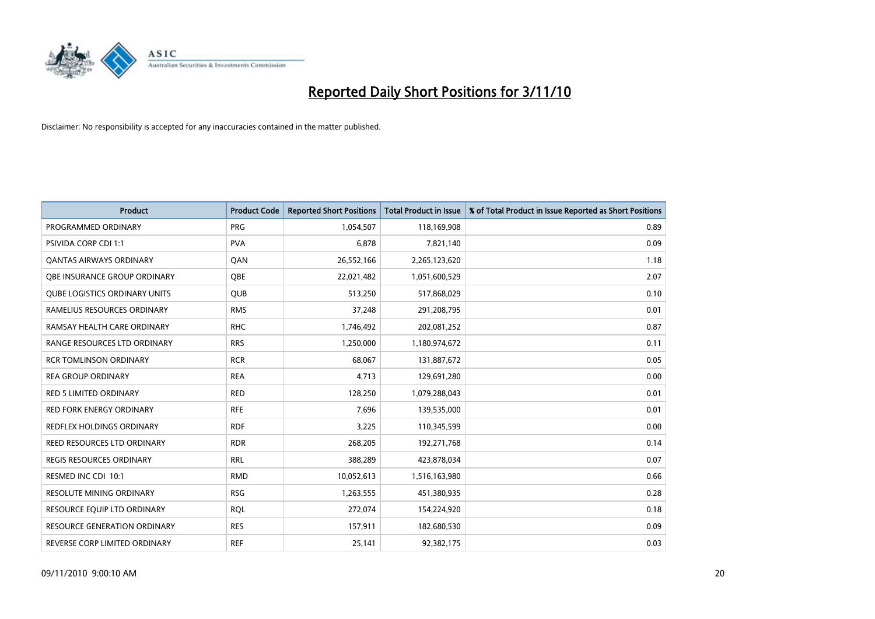

| <b>Product</b>                       | <b>Product Code</b> | <b>Reported Short Positions</b> | <b>Total Product in Issue</b> | % of Total Product in Issue Reported as Short Positions |
|--------------------------------------|---------------------|---------------------------------|-------------------------------|---------------------------------------------------------|
| PROGRAMMED ORDINARY                  | <b>PRG</b>          | 1,054,507                       | 118,169,908                   | 0.89                                                    |
| <b>PSIVIDA CORP CDI 1:1</b>          | <b>PVA</b>          | 6,878                           | 7,821,140                     | 0.09                                                    |
| <b>QANTAS AIRWAYS ORDINARY</b>       | QAN                 | 26,552,166                      | 2,265,123,620                 | 1.18                                                    |
| OBE INSURANCE GROUP ORDINARY         | <b>OBE</b>          | 22,021,482                      | 1,051,600,529                 | 2.07                                                    |
| <b>QUBE LOGISTICS ORDINARY UNITS</b> | QUB                 | 513,250                         | 517,868,029                   | 0.10                                                    |
| RAMELIUS RESOURCES ORDINARY          | <b>RMS</b>          | 37,248                          | 291,208,795                   | 0.01                                                    |
| RAMSAY HEALTH CARE ORDINARY          | <b>RHC</b>          | 1,746,492                       | 202,081,252                   | 0.87                                                    |
| RANGE RESOURCES LTD ORDINARY         | <b>RRS</b>          | 1,250,000                       | 1,180,974,672                 | 0.11                                                    |
| <b>RCR TOMLINSON ORDINARY</b>        | <b>RCR</b>          | 68,067                          | 131,887,672                   | 0.05                                                    |
| <b>REA GROUP ORDINARY</b>            | <b>REA</b>          | 4,713                           | 129,691,280                   | 0.00                                                    |
| <b>RED 5 LIMITED ORDINARY</b>        | <b>RED</b>          | 128,250                         | 1,079,288,043                 | 0.01                                                    |
| <b>RED FORK ENERGY ORDINARY</b>      | <b>RFE</b>          | 7,696                           | 139,535,000                   | 0.01                                                    |
| REDFLEX HOLDINGS ORDINARY            | <b>RDF</b>          | 3,225                           | 110,345,599                   | 0.00                                                    |
| REED RESOURCES LTD ORDINARY          | <b>RDR</b>          | 268,205                         | 192,271,768                   | 0.14                                                    |
| <b>REGIS RESOURCES ORDINARY</b>      | <b>RRL</b>          | 388,289                         | 423,878,034                   | 0.07                                                    |
| RESMED INC CDI 10:1                  | <b>RMD</b>          | 10,052,613                      | 1,516,163,980                 | 0.66                                                    |
| RESOLUTE MINING ORDINARY             | <b>RSG</b>          | 1,263,555                       | 451,380,935                   | 0.28                                                    |
| RESOURCE EQUIP LTD ORDINARY          | <b>RQL</b>          | 272,074                         | 154,224,920                   | 0.18                                                    |
| <b>RESOURCE GENERATION ORDINARY</b>  | <b>RES</b>          | 157,911                         | 182,680,530                   | 0.09                                                    |
| REVERSE CORP LIMITED ORDINARY        | <b>REF</b>          | 25,141                          | 92,382,175                    | 0.03                                                    |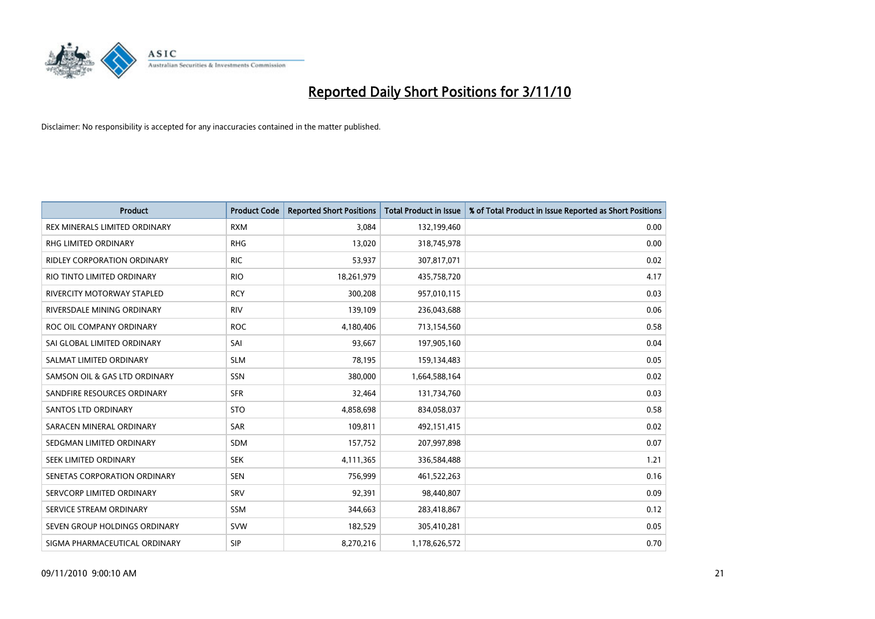

| <b>Product</b>                     | <b>Product Code</b> | <b>Reported Short Positions</b> | <b>Total Product in Issue</b> | % of Total Product in Issue Reported as Short Positions |
|------------------------------------|---------------------|---------------------------------|-------------------------------|---------------------------------------------------------|
| REX MINERALS LIMITED ORDINARY      | <b>RXM</b>          | 3,084                           | 132,199,460                   | 0.00                                                    |
| RHG LIMITED ORDINARY               | <b>RHG</b>          | 13,020                          | 318,745,978                   | 0.00                                                    |
| <b>RIDLEY CORPORATION ORDINARY</b> | <b>RIC</b>          | 53,937                          | 307,817,071                   | 0.02                                                    |
| RIO TINTO LIMITED ORDINARY         | <b>RIO</b>          | 18,261,979                      | 435,758,720                   | 4.17                                                    |
| <b>RIVERCITY MOTORWAY STAPLED</b>  | <b>RCY</b>          | 300,208                         | 957,010,115                   | 0.03                                                    |
| RIVERSDALE MINING ORDINARY         | <b>RIV</b>          | 139,109                         | 236,043,688                   | 0.06                                                    |
| ROC OIL COMPANY ORDINARY           | <b>ROC</b>          | 4,180,406                       | 713,154,560                   | 0.58                                                    |
| SAI GLOBAL LIMITED ORDINARY        | SAI                 | 93,667                          | 197,905,160                   | 0.04                                                    |
| SALMAT LIMITED ORDINARY            | <b>SLM</b>          | 78,195                          | 159,134,483                   | 0.05                                                    |
| SAMSON OIL & GAS LTD ORDINARY      | SSN                 | 380,000                         | 1,664,588,164                 | 0.02                                                    |
| SANDFIRE RESOURCES ORDINARY        | <b>SFR</b>          | 32,464                          | 131,734,760                   | 0.03                                                    |
| <b>SANTOS LTD ORDINARY</b>         | <b>STO</b>          | 4,858,698                       | 834,058,037                   | 0.58                                                    |
| SARACEN MINERAL ORDINARY           | SAR                 | 109,811                         | 492,151,415                   | 0.02                                                    |
| SEDGMAN LIMITED ORDINARY           | <b>SDM</b>          | 157,752                         | 207,997,898                   | 0.07                                                    |
| SEEK LIMITED ORDINARY              | <b>SEK</b>          | 4,111,365                       | 336,584,488                   | 1.21                                                    |
| SENETAS CORPORATION ORDINARY       | <b>SEN</b>          | 756,999                         | 461,522,263                   | 0.16                                                    |
| SERVCORP LIMITED ORDINARY          | SRV                 | 92,391                          | 98,440,807                    | 0.09                                                    |
| SERVICE STREAM ORDINARY            | <b>SSM</b>          | 344,663                         | 283,418,867                   | 0.12                                                    |
| SEVEN GROUP HOLDINGS ORDINARY      | <b>SVW</b>          | 182,529                         | 305,410,281                   | 0.05                                                    |
| SIGMA PHARMACEUTICAL ORDINARY      | SIP                 | 8,270,216                       | 1,178,626,572                 | 0.70                                                    |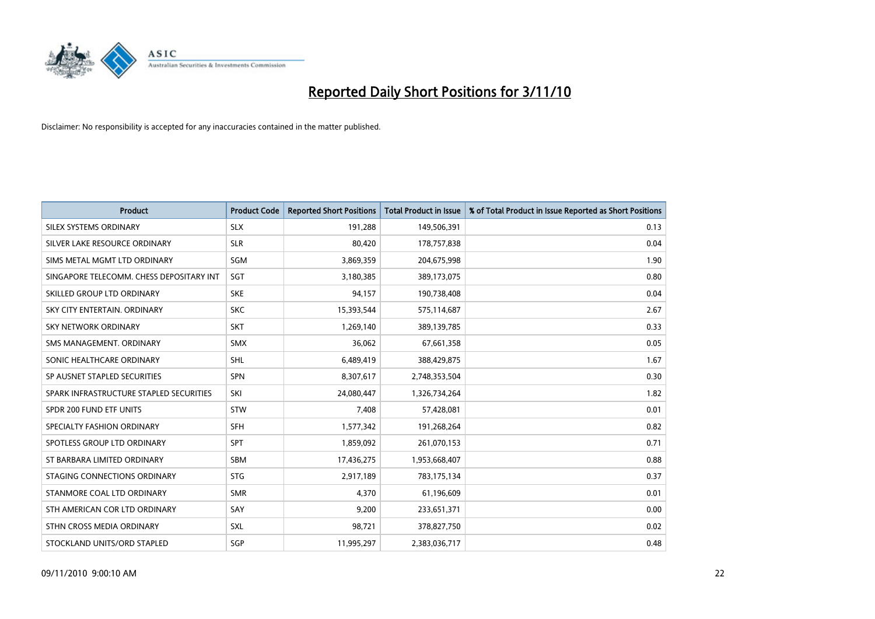

| <b>Product</b>                           | <b>Product Code</b> | <b>Reported Short Positions</b> | <b>Total Product in Issue</b> | % of Total Product in Issue Reported as Short Positions |
|------------------------------------------|---------------------|---------------------------------|-------------------------------|---------------------------------------------------------|
| SILEX SYSTEMS ORDINARY                   | <b>SLX</b>          | 191.288                         | 149,506,391                   | 0.13                                                    |
| SILVER LAKE RESOURCE ORDINARY            | <b>SLR</b>          | 80,420                          | 178,757,838                   | 0.04                                                    |
| SIMS METAL MGMT LTD ORDINARY             | <b>SGM</b>          | 3,869,359                       | 204,675,998                   | 1.90                                                    |
| SINGAPORE TELECOMM. CHESS DEPOSITARY INT | SGT                 | 3,180,385                       | 389,173,075                   | 0.80                                                    |
| SKILLED GROUP LTD ORDINARY               | <b>SKE</b>          | 94,157                          | 190,738,408                   | 0.04                                                    |
| SKY CITY ENTERTAIN, ORDINARY             | <b>SKC</b>          | 15,393,544                      | 575,114,687                   | 2.67                                                    |
| <b>SKY NETWORK ORDINARY</b>              | <b>SKT</b>          | 1,269,140                       | 389,139,785                   | 0.33                                                    |
| SMS MANAGEMENT, ORDINARY                 | <b>SMX</b>          | 36.062                          | 67,661,358                    | 0.05                                                    |
| SONIC HEALTHCARE ORDINARY                | <b>SHL</b>          | 6,489,419                       | 388,429,875                   | 1.67                                                    |
| SP AUSNET STAPLED SECURITIES             | <b>SPN</b>          | 8,307,617                       | 2,748,353,504                 | 0.30                                                    |
| SPARK INFRASTRUCTURE STAPLED SECURITIES  | SKI                 | 24,080,447                      | 1,326,734,264                 | 1.82                                                    |
| SPDR 200 FUND ETF UNITS                  | <b>STW</b>          | 7,408                           | 57,428,081                    | 0.01                                                    |
| SPECIALTY FASHION ORDINARY               | <b>SFH</b>          | 1,577,342                       | 191,268,264                   | 0.82                                                    |
| SPOTLESS GROUP LTD ORDINARY              | <b>SPT</b>          | 1,859,092                       | 261,070,153                   | 0.71                                                    |
| ST BARBARA LIMITED ORDINARY              | SBM                 | 17,436,275                      | 1,953,668,407                 | 0.88                                                    |
| STAGING CONNECTIONS ORDINARY             | <b>STG</b>          | 2,917,189                       | 783,175,134                   | 0.37                                                    |
| STANMORE COAL LTD ORDINARY               | <b>SMR</b>          | 4,370                           | 61,196,609                    | 0.01                                                    |
| STH AMERICAN COR LTD ORDINARY            | SAY                 | 9,200                           | 233,651,371                   | 0.00                                                    |
| STHN CROSS MEDIA ORDINARY                | <b>SXL</b>          | 98,721                          | 378,827,750                   | 0.02                                                    |
| STOCKLAND UNITS/ORD STAPLED              | <b>SGP</b>          | 11,995,297                      | 2,383,036,717                 | 0.48                                                    |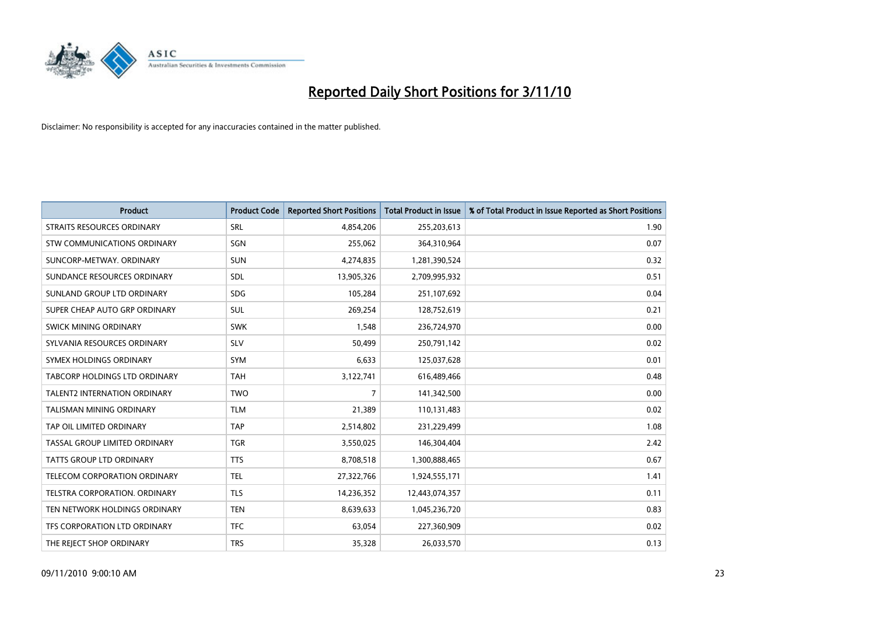

| <b>Product</b>                  | <b>Product Code</b> | <b>Reported Short Positions</b> | <b>Total Product in Issue</b> | % of Total Product in Issue Reported as Short Positions |
|---------------------------------|---------------------|---------------------------------|-------------------------------|---------------------------------------------------------|
| STRAITS RESOURCES ORDINARY      | SRL                 | 4,854,206                       | 255,203,613                   | 1.90                                                    |
| STW COMMUNICATIONS ORDINARY     | SGN                 | 255,062                         | 364,310,964                   | 0.07                                                    |
| SUNCORP-METWAY, ORDINARY        | <b>SUN</b>          | 4,274,835                       | 1,281,390,524                 | 0.32                                                    |
| SUNDANCE RESOURCES ORDINARY     | <b>SDL</b>          | 13,905,326                      | 2,709,995,932                 | 0.51                                                    |
| SUNLAND GROUP LTD ORDINARY      | <b>SDG</b>          | 105,284                         | 251,107,692                   | 0.04                                                    |
| SUPER CHEAP AUTO GRP ORDINARY   | <b>SUL</b>          | 269,254                         | 128,752,619                   | 0.21                                                    |
| SWICK MINING ORDINARY           | <b>SWK</b>          | 1,548                           | 236,724,970                   | 0.00                                                    |
| SYLVANIA RESOURCES ORDINARY     | <b>SLV</b>          | 50,499                          | 250,791,142                   | 0.02                                                    |
| SYMEX HOLDINGS ORDINARY         | <b>SYM</b>          | 6,633                           | 125,037,628                   | 0.01                                                    |
| TABCORP HOLDINGS LTD ORDINARY   | <b>TAH</b>          | 3,122,741                       | 616,489,466                   | 0.48                                                    |
| TALENT2 INTERNATION ORDINARY    | <b>TWO</b>          | 7                               | 141,342,500                   | 0.00                                                    |
| <b>TALISMAN MINING ORDINARY</b> | <b>TLM</b>          | 21,389                          | 110,131,483                   | 0.02                                                    |
| TAP OIL LIMITED ORDINARY        | <b>TAP</b>          | 2,514,802                       | 231,229,499                   | 1.08                                                    |
| TASSAL GROUP LIMITED ORDINARY   | <b>TGR</b>          | 3,550,025                       | 146,304,404                   | 2.42                                                    |
| <b>TATTS GROUP LTD ORDINARY</b> | <b>TTS</b>          | 8,708,518                       | 1,300,888,465                 | 0.67                                                    |
| TELECOM CORPORATION ORDINARY    | <b>TEL</b>          | 27,322,766                      | 1,924,555,171                 | 1.41                                                    |
| TELSTRA CORPORATION. ORDINARY   | <b>TLS</b>          | 14,236,352                      | 12,443,074,357                | 0.11                                                    |
| TEN NETWORK HOLDINGS ORDINARY   | <b>TEN</b>          | 8,639,633                       | 1,045,236,720                 | 0.83                                                    |
| TFS CORPORATION LTD ORDINARY    | <b>TFC</b>          | 63,054                          | 227,360,909                   | 0.02                                                    |
| THE REJECT SHOP ORDINARY        | <b>TRS</b>          | 35,328                          | 26,033,570                    | 0.13                                                    |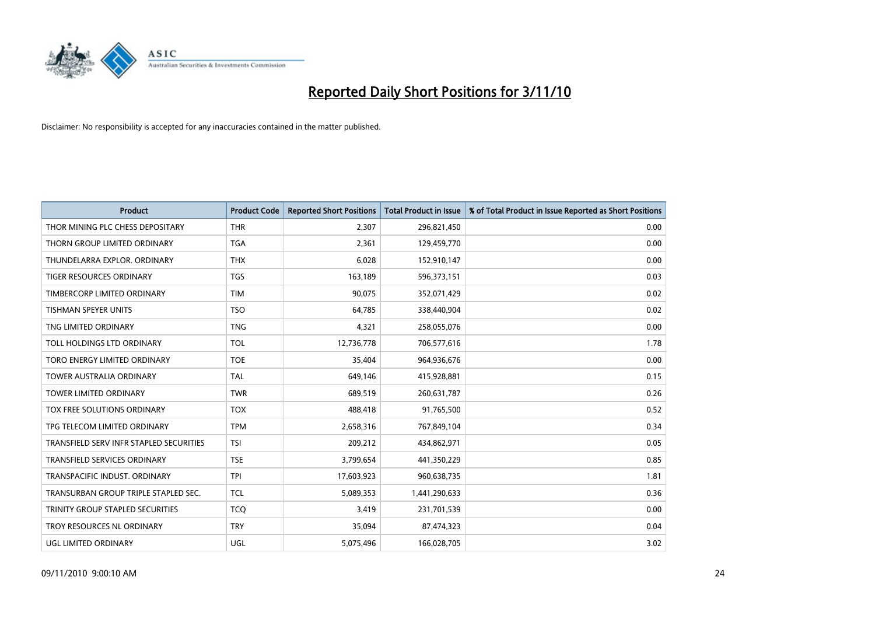

| <b>Product</b>                          | <b>Product Code</b> | <b>Reported Short Positions</b> | <b>Total Product in Issue</b> | % of Total Product in Issue Reported as Short Positions |
|-----------------------------------------|---------------------|---------------------------------|-------------------------------|---------------------------------------------------------|
| THOR MINING PLC CHESS DEPOSITARY        | <b>THR</b>          | 2,307                           | 296,821,450                   | 0.00                                                    |
| THORN GROUP LIMITED ORDINARY            | <b>TGA</b>          | 2,361                           | 129,459,770                   | 0.00                                                    |
| THUNDELARRA EXPLOR, ORDINARY            | <b>THX</b>          | 6,028                           | 152,910,147                   | 0.00                                                    |
| TIGER RESOURCES ORDINARY                | <b>TGS</b>          | 163,189                         | 596,373,151                   | 0.03                                                    |
| TIMBERCORP LIMITED ORDINARY             | <b>TIM</b>          | 90,075                          | 352,071,429                   | 0.02                                                    |
| <b>TISHMAN SPEYER UNITS</b>             | <b>TSO</b>          | 64,785                          | 338,440,904                   | 0.02                                                    |
| TNG LIMITED ORDINARY                    | <b>TNG</b>          | 4,321                           | 258,055,076                   | 0.00                                                    |
| TOLL HOLDINGS LTD ORDINARY              | <b>TOL</b>          | 12,736,778                      | 706,577,616                   | 1.78                                                    |
| TORO ENERGY LIMITED ORDINARY            | <b>TOE</b>          | 35,404                          | 964,936,676                   | 0.00                                                    |
| <b>TOWER AUSTRALIA ORDINARY</b>         | <b>TAL</b>          | 649,146                         | 415,928,881                   | 0.15                                                    |
| TOWER LIMITED ORDINARY                  | <b>TWR</b>          | 689,519                         | 260,631,787                   | 0.26                                                    |
| <b>TOX FREE SOLUTIONS ORDINARY</b>      | <b>TOX</b>          | 488,418                         | 91,765,500                    | 0.52                                                    |
| TPG TELECOM LIMITED ORDINARY            | <b>TPM</b>          | 2,658,316                       | 767,849,104                   | 0.34                                                    |
| TRANSFIELD SERV INFR STAPLED SECURITIES | <b>TSI</b>          | 209,212                         | 434,862,971                   | 0.05                                                    |
| <b>TRANSFIELD SERVICES ORDINARY</b>     | <b>TSE</b>          | 3,799,654                       | 441,350,229                   | 0.85                                                    |
| TRANSPACIFIC INDUST. ORDINARY           | <b>TPI</b>          | 17,603,923                      | 960,638,735                   | 1.81                                                    |
| TRANSURBAN GROUP TRIPLE STAPLED SEC.    | <b>TCL</b>          | 5,089,353                       | 1,441,290,633                 | 0.36                                                    |
| TRINITY GROUP STAPLED SECURITIES        | <b>TCQ</b>          | 3,419                           | 231,701,539                   | 0.00                                                    |
| TROY RESOURCES NL ORDINARY              | <b>TRY</b>          | 35,094                          | 87,474,323                    | 0.04                                                    |
| <b>UGL LIMITED ORDINARY</b>             | UGL                 | 5,075,496                       | 166,028,705                   | 3.02                                                    |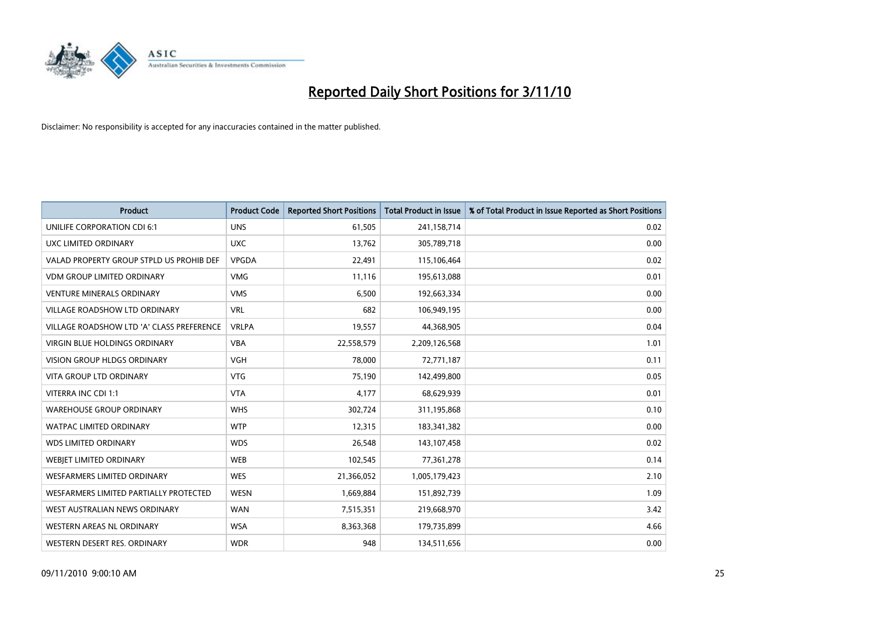

| <b>Product</b>                            | <b>Product Code</b> | <b>Reported Short Positions</b> | <b>Total Product in Issue</b> | % of Total Product in Issue Reported as Short Positions |
|-------------------------------------------|---------------------|---------------------------------|-------------------------------|---------------------------------------------------------|
| UNILIFE CORPORATION CDI 6:1               | <b>UNS</b>          | 61,505                          | 241,158,714                   | 0.02                                                    |
| UXC LIMITED ORDINARY                      | <b>UXC</b>          | 13,762                          | 305,789,718                   | 0.00                                                    |
| VALAD PROPERTY GROUP STPLD US PROHIB DEF  | VPGDA               | 22,491                          | 115,106,464                   | 0.02                                                    |
| <b>VDM GROUP LIMITED ORDINARY</b>         | <b>VMG</b>          | 11,116                          | 195,613,088                   | 0.01                                                    |
| <b>VENTURE MINERALS ORDINARY</b>          | <b>VMS</b>          | 6,500                           | 192,663,334                   | 0.00                                                    |
| <b>VILLAGE ROADSHOW LTD ORDINARY</b>      | <b>VRL</b>          | 682                             | 106,949,195                   | 0.00                                                    |
| VILLAGE ROADSHOW LTD 'A' CLASS PREFERENCE | <b>VRLPA</b>        | 19,557                          | 44,368,905                    | 0.04                                                    |
| VIRGIN BLUE HOLDINGS ORDINARY             | <b>VBA</b>          | 22,558,579                      | 2,209,126,568                 | 1.01                                                    |
| <b>VISION GROUP HLDGS ORDINARY</b>        | <b>VGH</b>          | 78,000                          | 72,771,187                    | 0.11                                                    |
| <b>VITA GROUP LTD ORDINARY</b>            | <b>VTG</b>          | 75,190                          | 142,499,800                   | 0.05                                                    |
| VITERRA INC CDI 1:1                       | <b>VTA</b>          | 4,177                           | 68,629,939                    | 0.01                                                    |
| <b>WAREHOUSE GROUP ORDINARY</b>           | <b>WHS</b>          | 302,724                         | 311,195,868                   | 0.10                                                    |
| <b>WATPAC LIMITED ORDINARY</b>            | <b>WTP</b>          | 12,315                          | 183,341,382                   | 0.00                                                    |
| <b>WDS LIMITED ORDINARY</b>               | <b>WDS</b>          | 26,548                          | 143,107,458                   | 0.02                                                    |
| WEBJET LIMITED ORDINARY                   | <b>WEB</b>          | 102,545                         | 77,361,278                    | 0.14                                                    |
| WESFARMERS LIMITED ORDINARY               | <b>WES</b>          | 21,366,052                      | 1,005,179,423                 | 2.10                                                    |
| WESFARMERS LIMITED PARTIALLY PROTECTED    | <b>WESN</b>         | 1,669,884                       | 151,892,739                   | 1.09                                                    |
| WEST AUSTRALIAN NEWS ORDINARY             | <b>WAN</b>          | 7,515,351                       | 219,668,970                   | 3.42                                                    |
| WESTERN AREAS NL ORDINARY                 | <b>WSA</b>          | 8,363,368                       | 179,735,899                   | 4.66                                                    |
| WESTERN DESERT RES. ORDINARY              | <b>WDR</b>          | 948                             | 134,511,656                   | 0.00                                                    |